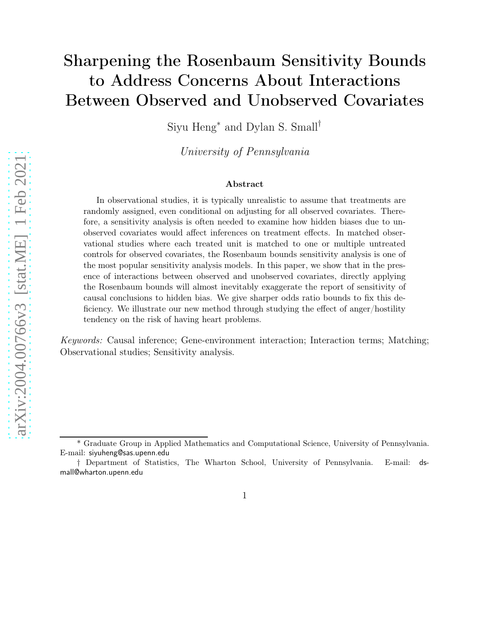# Sharpening the Rosenbaum Sensitivity Bounds to Address Concerns About Interactions Between Observed and Unobserved Covariates

Siyu Heng<sup>∗</sup> and Dylan S. Small†

University of Pennsylvania

#### Abstract

In observational studies, it is typically unrealistic to assume that treatments are randomly assigned, even conditional on adjusting for all observed covariates. Therefore, a sensitivity analysis is often needed to examine how hidden biases due to unobserved covariates would affect inferences on treatment effects. In matched observational studies where each treated unit is matched to one or multiple untreated controls for observed covariates, the Rosenbaum bounds sensitivity analysis is one of the most popular sensitivity analysis models. In this paper, we show that in the presence of interactions between observed and unobserved covariates, directly applying the Rosenbaum bounds will almost inevitably exaggerate the report of sensitivity of causal conclusions to hidden bias. We give sharper odds ratio bounds to fix this deficiency. We illustrate our new method through studying the effect of anger/hostility tendency on the risk of having heart problems.

Keywords: Causal inference; Gene-environment interaction; Interaction terms; Matching; Observational studies; Sensitivity analysis.

<sup>\*</sup> Graduate Group in Applied Mathematics and Computational Science, University of Pennsylvania. E-mail: siyuheng@sas.upenn.edu

<sup>†</sup> Department of Statistics, The Wharton School, University of Pennsylvania. E-mail: dsmall@wharton.upenn.edu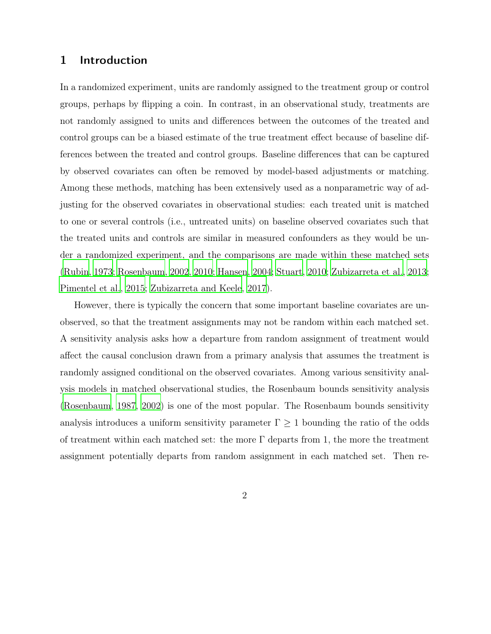### 1 Introduction

In a randomized experiment, units are randomly assigned to the treatment group or control groups, perhaps by flipping a coin. In contrast, in an observational study, treatments are not randomly assigned to units and differences between the outcomes of the treated and control groups can be a biased estimate of the true treatment effect because of baseline differences between the treated and control groups. Baseline differences that can be captured by observed covariates can often be removed by model-based adjustments or matching. Among these methods, matching has been extensively used as a nonparametric way of adjusting for the observed covariates in observational studies: each treated unit is matched to one or several controls (i.e., untreated units) on baseline observed covariates such that the treated units and controls are similar in measured confounders as they would be under a randomized experiment, and the comparisons are made within these matched sets [\(Rubin, 1973;](#page-29-0) [Rosenbaum, 2002,](#page-29-1) [2010](#page-29-2); [Hansen, 2004;](#page-27-0) [Stuart](#page-30-0), [2010](#page-30-0); [Zubizarreta et al.](#page-30-1), [2013](#page-30-1); [Pimentel et al.](#page-29-3), [2015;](#page-29-3) [Zubizarreta and Keele](#page-31-0), [2017](#page-31-0)).

However, there is typically the concern that some important baseline covariates are unobserved, so that the treatment assignments may not be random within each matched set. A sensitivity analysis asks how a departure from random assignment of treatment would affect the causal conclusion drawn from a primary analysis that assumes the treatment is randomly assigned conditional on the observed covariates. Among various sensitivity analysis models in matched observational studies, the Rosenbaum bounds sensitivity analysis [\(Rosenbaum](#page-29-4), [1987](#page-29-4), [2002](#page-29-1)) is one of the most popular. The Rosenbaum bounds sensitivity analysis introduces a uniform sensitivity parameter  $\Gamma \geq 1$  bounding the ratio of the odds of treatment within each matched set: the more  $\Gamma$  departs from 1, the more the treatment assignment potentially departs from random assignment in each matched set. Then re-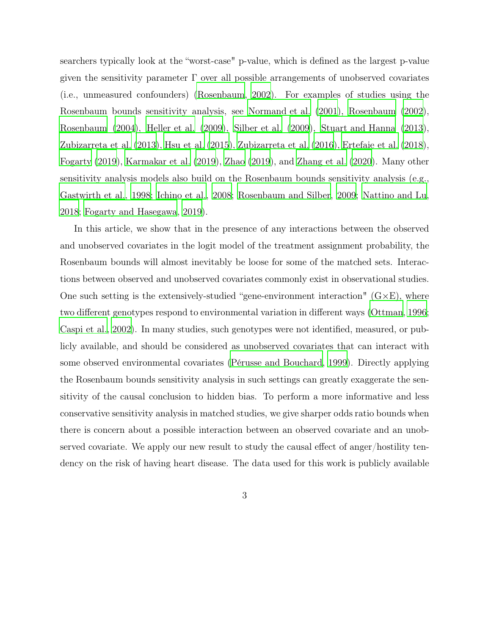searchers typically look at the "worst-case" p-value, which is defined as the largest p-value given the sensitivity parameter  $\Gamma$  over all possible arrangements of unobserved covariates (i.e., unmeasured confounders) [\(Rosenbaum](#page-29-1), [2002\)](#page-29-1). For examples of studies using the Rosenbaum bounds sensitivity analysis, see [Normand et al.](#page-28-0) [\(2001\)](#page-28-0), [Rosenbaum \(2002\)](#page-29-1), [Rosenbaum \(2004](#page-29-5)), [Heller et al. \(2009\)](#page-27-1), [Silber et al.](#page-30-2) [\(2009\)](#page-30-2), [Stuart and Hanna \(2013\)](#page-30-3), [Zubizarreta et al. \(2013\)](#page-30-1), [Hsu et al. \(2015\)](#page-27-2), [Zubizarreta et](#page-30-4) al. [\(2016](#page-30-4)), [Ertefaie et al. \(2018\)](#page-26-0), [Fogarty \(2019](#page-26-1)), [Karmakar et al.](#page-27-3) [\(2019\)](#page-27-3), [Zhao](#page-30-5) [\(2019\)](#page-30-5), and [Zhang et al. \(2020\)](#page-30-6). Many other sensitivity analysis models also build on the Rosenbaum bounds sensitivity analysis (e.g., [Gastwirth et al.](#page-26-2), [1998;](#page-26-2) [Ichino et al.](#page-27-4), [2008;](#page-27-4) [Rosenbaum and Silber](#page-29-6), [2009;](#page-29-6) [Nattino and Lu](#page-28-1), [2018](#page-28-1); [Fogarty and Hasegawa, 2019\)](#page-26-3).

In this article, we show that in the presence of any interactions between the observed and unobserved covariates in the logit model of the treatment assignment probability, the Rosenbaum bounds will almost inevitably be loose for some of the matched sets. Interactions between observed and unobserved covariates commonly exist in observational studies. One such setting is the extensively-studied "gene-environment interaction"  $(G \times E)$ , where two different genotypes respond to environmental variation in different ways [\(Ottman, 1996](#page-28-2); [Caspi et al.](#page-26-4), [2002\)](#page-26-4). In many studies, such genotypes were not identified, measured, or publicly available, and should be considered as unobserved covariates that can interact with some observed environmental covariates [\(Pérusse and Bouchard](#page-29-7), [1999\)](#page-29-7). Directly applying the Rosenbaum bounds sensitivity analysis in such settings can greatly exaggerate the sensitivity of the causal conclusion to hidden bias. To perform a more informative and less conservative sensitivity analysis in matched studies, we give sharper odds ratio bounds when there is concern about a possible interaction between an observed covariate and an unobserved covariate. We apply our new result to study the causal effect of anger/hostility tendency on the risk of having heart disease. The data used for this work is publicly available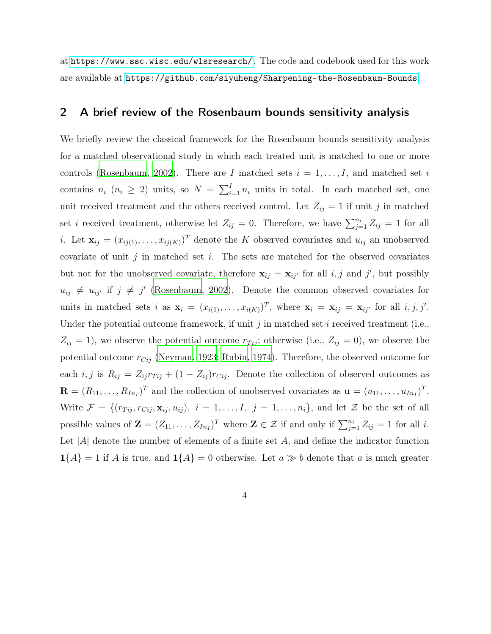<span id="page-3-0"></span>at <https://www.ssc.wisc.edu/wlsresearch/>. The code and codebook used for this work are available at <https://github.com/siyuheng/Sharpening-the-Rosenbaum-Bounds>.

## 2 A brief review of the Rosenbaum bounds sensitivity analysis

We briefly review the classical framework for the Rosenbaum bounds sensitivity analysis for a matched observational study in which each treated unit is matched to one or more controls [\(Rosenbaum](#page-29-1), [2002](#page-29-1)). There are I matched sets  $i = 1, \ldots, I$ , and matched set i contains  $n_i$  ( $n_i \geq 2$ ) units, so  $N = \sum_{i=1}^{I} n_i$  units in total. In each matched set, one unit received treatment and the others received control. Let  $Z_{ij} = 1$  if unit j in matched set *i* received treatment, otherwise let  $Z_{ij} = 0$ . Therefore, we have  $\sum_{j=1}^{n_i} Z_{ij} = 1$  for all *i*. Let  $\mathbf{x}_{ij} = (x_{ij(1)}, \ldots, x_{ij(K)})^T$  denote the K observed covariates and  $u_{ij}$  an unobserved covariate of unit j in matched set i. The sets are matched for the observed covariates but not for the unobserved covariate, therefore  $x_{ij} = x_{ij'}$  for all i, j and j', but possibly  $u_{ij} \neq u_{ij'}$  if  $j \neq j'$  [\(Rosenbaum](#page-29-1), [2002\)](#page-29-1). Denote the common observed covariates for units in matched sets i as  $\mathbf{x}_i = (x_{i(1)}, \dots, x_{i(K)})^T$ , where  $\mathbf{x}_i = \mathbf{x}_{ij} = \mathbf{x}_{ij'}$  for all  $i, j, j'$ . Under the potential outcome framework, if unit  $j$  in matched set  $i$  received treatment (i.e.,  $Z_{ij} = 1$ , we observe the potential outcome  $r_{Tij}$ ; otherwise (i.e.,  $Z_{ij} = 0$ ), we observe the potential outcome  $r_{Cij}$  [\(Neyman, 1923](#page-28-3); [Rubin](#page-30-7), [1974\)](#page-30-7). Therefore, the observed outcome for each i, j is  $R_{ij} = Z_{ij}r_{Tij} + (1 - Z_{ij})r_{Cij}$ . Denote the collection of observed outcomes as  $\mathbf{R} = (R_{11}, \ldots, R_{In_I})^T$  and the collection of unobserved covariates as  $\mathbf{u} = (u_{11}, \ldots, u_{In_I})^T$ . Write  $\mathcal{F} = \{(r_{Tij}, r_{Cij}, \mathbf{x}_{ij}, u_{ij}), i = 1, \ldots, I, j = 1, \ldots, n_i\}$ , and let  $\mathcal{Z}$  be the set of all possible values of  $\mathbf{Z} = (Z_{11}, \ldots, Z_{In})^T$  where  $\mathbf{Z} \in \mathcal{Z}$  if and only if  $\sum_{j=1}^{n_i} Z_{ij} = 1$  for all *i*. Let  $|A|$  denote the number of elements of a finite set A, and define the indicator function  $1\{A\} = 1$  if A is true, and  $1\{A\} = 0$  otherwise. Let  $a \gg b$  denote that a is much greater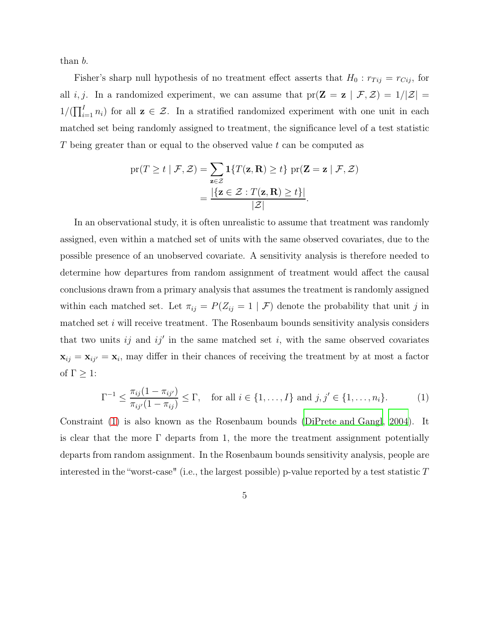than b.

Fisher's sharp null hypothesis of no treatment effect asserts that  $H_0: r_{Tij} = r_{Cij}$ , for all i, j. In a randomized experiment, we can assume that  $pr(\mathbf{Z} = \mathbf{z} | \mathcal{F}, \mathcal{Z}) = 1/|\mathcal{Z}| =$  $1/(\prod_{i=1}^{I} n_i)$  for all  $z \in \mathcal{Z}$ . In a stratified randomized experiment with one unit in each matched set being randomly assigned to treatment, the significance level of a test statistic T being greater than or equal to the observed value t can be computed as

$$
\begin{aligned} \text{pr}(T \ge t \mid \mathcal{F}, \mathcal{Z}) &= \sum_{\mathbf{z} \in \mathcal{Z}} \mathbf{1} \{ T(\mathbf{z}, \mathbf{R}) \ge t \} \text{ pr}(\mathbf{Z} = \mathbf{z} \mid \mathcal{F}, \mathcal{Z}) \\ &= \frac{|\{\mathbf{z} \in \mathcal{Z} : T(\mathbf{z}, \mathbf{R}) \ge t\}|}{|\mathcal{Z}|}. \end{aligned}
$$

In an observational study, it is often unrealistic to assume that treatment was randomly assigned, even within a matched set of units with the same observed covariates, due to the possible presence of an unobserved covariate. A sensitivity analysis is therefore needed to determine how departures from random assignment of treatment would affect the causal conclusions drawn from a primary analysis that assumes the treatment is randomly assigned within each matched set. Let  $\pi_{ij} = P(Z_{ij} = 1 | \mathcal{F})$  denote the probability that unit j in matched set i will receive treatment. The Rosenbaum bounds sensitivity analysis considers that two units  $ij$  and  $ij'$  in the same matched set i, with the same observed covariates  $\mathbf{x}_{ij} = \mathbf{x}_{ij'} = \mathbf{x}_i$ , may differ in their chances of receiving the treatment by at most a factor of  $\Gamma \geq 1$ :

<span id="page-4-0"></span>
$$
\Gamma^{-1} \le \frac{\pi_{ij}(1 - \pi_{ij'})}{\pi_{ij'}(1 - \pi_{ij})} \le \Gamma, \quad \text{for all } i \in \{1, ..., I\} \text{ and } j, j' \in \{1, ..., n_i\}.
$$
 (1)

Constraint [\(1\)](#page-4-0) is also known as the Rosenbaum bounds [\(DiPrete and Gangl](#page-26-5), [2004](#page-26-5)). It is clear that the more  $\Gamma$  departs from 1, the more the treatment assignment potentially departs from random assignment. In the Rosenbaum bounds sensitivity analysis, people are interested in the "worst-case" (i.e., the largest possible) p-value reported by a test statistic  $T$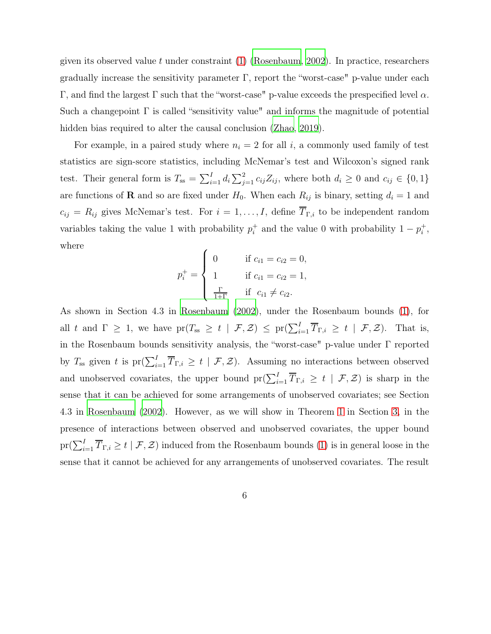given its observed value t under constraint  $(1)$  [\(Rosenbaum](#page-29-1), [2002\)](#page-29-1). In practice, researchers gradually increase the sensitivity parameter  $\Gamma$ , report the "worst-case" p-value under each Γ, and find the largest Γ such that the "worst-case" p-value exceeds the prespecified level  $\alpha$ . Such a changepoint  $\Gamma$  is called "sensitivity value" and informs the magnitude of potential hidden bias required to alter the causal conclusion [\(Zhao, 2019](#page-30-5)).

For example, in a paired study where  $n<sub>i</sub> = 2$  for all i, a commonly used family of test statistics are sign-score statistics, including McNemar's test and Wilcoxon's signed rank test. Their general form is  $T_{ss} = \sum_{i=1}^{I} d_i \sum_{j=1}^{2} c_{ij} Z_{ij}$ , where both  $d_i \geq 0$  and  $c_{ij} \in \{0, 1\}$ are functions of **R** and so are fixed under  $H_0$ . When each  $R_{ij}$  is binary, setting  $d_i = 1$  and  $c_{ij} = R_{ij}$  gives McNemar's test. For  $i = 1, ..., I$ , define  $\overline{T}_{\Gamma,i}$  to be independent random variables taking the value 1 with probability  $p_i^+$ <sup>+</sup> and the value 0 with probability  $1 - p_i^+$  $_i^+$ , where

$$
p_i^+ = \begin{cases} 0 & \text{if } c_{i1} = c_{i2} = 0, \\ 1 & \text{if } c_{i1} = c_{i2} = 1, \\ \frac{\Gamma}{1+\Gamma} & \text{if } c_{i1} \neq c_{i2}. \end{cases}
$$

As shown in Section 4.3 in [Rosenbaum \(2002\)](#page-29-1), under the Rosenbaum bounds [\(1\)](#page-4-0), for all t and  $\Gamma \geq 1$ , we have  $\text{pr}(T_{ss} \geq t \mid \mathcal{F}, \mathcal{Z}) \leq \text{pr}(\sum_{i=1}^{I} \overline{T}_{\Gamma,i} \geq t \mid \mathcal{F}, \mathcal{Z})$ . That is, in the Rosenbaum bounds sensitivity analysis, the "worst-case" p-value under Γ reported by  $T_{ss}$  given t is  $pr(\sum_{i=1}^{I} \overline{T}_{\Gamma,i} \geq t \mid \mathcal{F}, \mathcal{Z})$ . Assuming no interactions between observed and unobserved covariates, the upper bound  $pr(\sum_{i=1}^{I} \overline{T}_{\Gamma,i} \geq t \mid \mathcal{F}, \mathcal{Z})$  is sharp in the sense that it can be achieved for some arrangements of unobserved covariates; see Section 4.3 in [Rosenbaum \(2002\)](#page-29-1). However, as we will show in Theorem [1](#page-8-0) in Section [3,](#page-6-0) in the presence of interactions between observed and unobserved covariates, the upper bound  $\text{pr}(\sum_{i=1}^{I} \overline{T}_{\Gamma, i} \geq t \mid \mathcal{F}, \mathcal{Z})$  induced from the Rosenbaum bounds [\(1\)](#page-4-0) is in general loose in the sense that it cannot be achieved for any arrangements of unobserved covariates. The result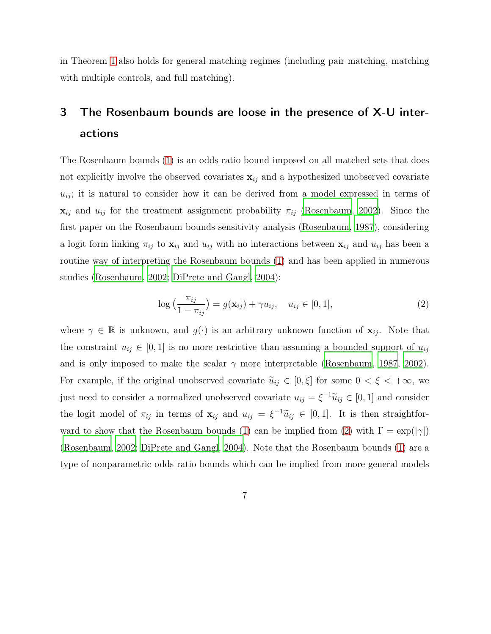<span id="page-6-0"></span>in Theorem [1](#page-8-0) also holds for general matching regimes (including pair matching, matching with multiple controls, and full matching).

# 3 The Rosenbaum bounds are loose in the presence of X-U interactions

The Rosenbaum bounds [\(1\)](#page-4-0) is an odds ratio bound imposed on all matched sets that does not explicitly involve the observed covariates  $x_{ij}$  and a hypothesized unobserved covariate  $u_{ij}$ ; it is natural to consider how it can be derived from a model expressed in terms of  $\mathbf{x}_{ij}$  and  $u_{ij}$  for the treatment assignment probability  $\pi_{ij}$  [\(Rosenbaum, 2002\)](#page-29-1). Since the first paper on the Rosenbaum bounds sensitivity analysis [\(Rosenbaum, 1987](#page-29-4)), considering a logit form linking  $\pi_{ij}$  to  $\mathbf{x}_{ij}$  and  $u_{ij}$  with no interactions between  $\mathbf{x}_{ij}$  and  $u_{ij}$  has been a routine way of interpreting the Rosenbaum bounds [\(1\)](#page-4-0) and has been applied in numerous studies [\(Rosenbaum](#page-29-1), [2002](#page-29-1); [DiPrete and Gangl](#page-26-5), [2004\)](#page-26-5):

<span id="page-6-1"></span>
$$
\log\left(\frac{\pi_{ij}}{1-\pi_{ij}}\right) = g(\mathbf{x}_{ij}) + \gamma u_{ij}, \quad u_{ij} \in [0,1],\tag{2}
$$

where  $\gamma \in \mathbb{R}$  is unknown, and  $g(\cdot)$  is an arbitrary unknown function of  $\mathbf{x}_{ij}$ . Note that the constraint  $u_{ij} \in [0,1]$  is no more restrictive than assuming a bounded support of  $u_{ij}$ and is only imposed to make the scalar  $\gamma$  more interpretable [\(Rosenbaum](#page-29-4), [1987,](#page-29-4) [2002\)](#page-29-1). For example, if the original unobserved covariate  $\tilde{u}_{ij} \in [0,\xi]$  for some  $0 < \xi < +\infty$ , we just need to consider a normalized unobserved covariate  $u_{ij} = \xi^{-1} \tilde{u}_{ij} \in [0, 1]$  and consider the logit model of  $\pi_{ij}$  in terms of  $\mathbf{x}_{ij}$  and  $u_{ij} = \xi^{-1}\widetilde{u}_{ij} \in [0,1]$ . It is then straightfor-ward to show that the Rosenbaum bounds [\(1\)](#page-4-0) can be implied from [\(2\)](#page-6-1) with  $\Gamma = \exp(|\gamma|)$ [\(Rosenbaum](#page-29-1), [2002;](#page-29-1) [DiPrete and Gangl, 2004\)](#page-26-5). Note that the Rosenbaum bounds [\(1\)](#page-4-0) are a type of nonparametric odds ratio bounds which can be implied from more general models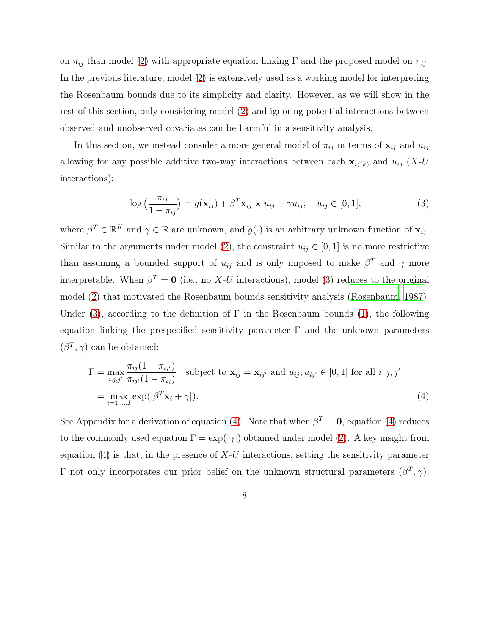on  $\pi_{ij}$  than model [\(2\)](#page-6-1) with appropriate equation linking Γ and the proposed model on  $\pi_{ij}$ . In the previous literature, model [\(2\)](#page-6-1) is extensively used as a working model for interpreting the Rosenbaum bounds due to its simplicity and clarity. However, as we will show in the rest of this section, only considering model [\(2\)](#page-6-1) and ignoring potential interactions between observed and unobserved covariates can be harmful in a sensitivity analysis.

In this section, we instead consider a more general model of  $\pi_{ij}$  in terms of  $\mathbf{x}_{ij}$  and  $u_{ij}$ allowing for any possible additive two-way interactions between each  $\mathbf{x}_{ij(k)}$  and  $u_{ij}$  (X-U interactions):

<span id="page-7-0"></span>
$$
\log\left(\frac{\pi_{ij}}{1-\pi_{ij}}\right) = g(\mathbf{x}_{ij}) + \beta^T \mathbf{x}_{ij} \times u_{ij} + \gamma u_{ij}, \quad u_{ij} \in [0,1],
$$
\n(3)

where  $\beta^T \in \mathbb{R}^K$  and  $\gamma \in \mathbb{R}$  are unknown, and  $g(\cdot)$  is an arbitrary unknown function of  $\mathbf{x}_{ij}$ . Similar to the arguments under model [\(2\)](#page-6-1), the constraint  $u_{ij} \in [0, 1]$  is no more restrictive than assuming a bounded support of  $u_{ij}$  and is only imposed to make  $\beta^T$  and  $\gamma$  more interpretable. When  $\beta^T = \mathbf{0}$  (i.e., no X-U interactions), model [\(3\)](#page-7-0) reduces to the original model [\(2\)](#page-6-1) that motivated the Rosenbaum bounds sensitivity analysis [\(Rosenbaum, 1987\)](#page-29-4). Under [\(3\)](#page-7-0), according to the definition of  $\Gamma$  in the Rosenbaum bounds [\(1\)](#page-4-0), the following equation linking the prespecified sensitivity parameter  $\Gamma$  and the unknown parameters  $(\beta^T, \gamma)$  can be obtained:

<span id="page-7-1"></span>
$$
\Gamma = \max_{i,j,j'} \frac{\pi_{ij}(1 - \pi_{ij'})}{\pi_{ij'}(1 - \pi_{ij})} \text{ subject to } \mathbf{x}_{ij} = \mathbf{x}_{ij'} \text{ and } u_{ij}, u_{ij'} \in [0, 1] \text{ for all } i, j, j'
$$
  
= 
$$
\max_{i=1,\dots,I} \exp(|\beta^T \mathbf{x}_i + \gamma|).
$$
 (4)

See Appendix for a derivation of equation [\(4\)](#page-7-1). Note that when  $\beta^T = \mathbf{0}$ , equation [\(4\)](#page-7-1) reduces to the commonly used equation  $\Gamma = \exp(|\gamma|)$  obtained under model [\(2\)](#page-6-1). A key insight from equation  $(4)$  is that, in the presence of X-U interactions, setting the sensitivity parameter Γ not only incorporates our prior belief on the unknown structural parameters  $(β<sup>T</sup>, γ)$ ,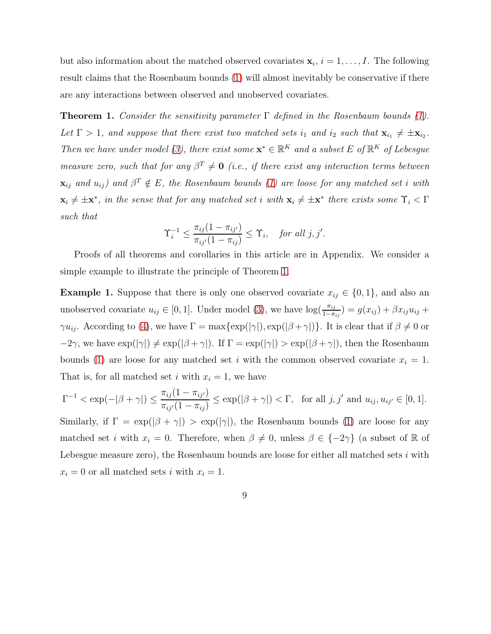but also information about the matched observed covariates  $\mathbf{x}_i$ ,  $i = 1, \ldots, I$ . The following result claims that the Rosenbaum bounds [\(1\)](#page-4-0) will almost inevitably be conservative if there are any interactions between observed and unobserved covariates.

<span id="page-8-0"></span>**Theorem 1.** Consider the sensitivity parameter  $\Gamma$  defined in the Rosenbaum bounds [\(1\)](#page-4-0). Let  $\Gamma > 1$ , and suppose that there exist two matched sets  $i_1$  and  $i_2$  such that  $\mathbf{x}_{i_1} \neq \pm \mathbf{x}_{i_2}$ . Then we have under model [\(3\)](#page-7-0), there exist some  $\mathbf{x}^* \in \mathbb{R}^K$  and a subset E of  $\mathbb{R}^K$  of Lebesgue measure zero, such that for any  $\beta^T \neq 0$  (i.e., if there exist any interaction terms between  $\mathbf{x}_{ij}$  and  $u_{ij}$ ) and  $\beta^T \notin E$ , the Rosenbaum bounds [\(1\)](#page-4-0) are loose for any matched set i with  $\mathbf{x}_i \neq \pm \mathbf{x}^*$ , in the sense that for any matched set i with  $\mathbf{x}_i \neq \pm \mathbf{x}^*$  there exists some  $\Upsilon_i < \Gamma$ such that

$$
\Upsilon_i^{-1} \le \frac{\pi_{ij}(1 - \pi_{ij'})}{\pi_{ij'}(1 - \pi_{ij})} \le \Upsilon_i, \quad \text{for all } j, j'.
$$

Proofs of all theorems and corollaries in this article are in Appendix. We consider a simple example to illustrate the principle of Theorem [1.](#page-8-0)

**Example 1.** Suppose that there is only one observed covariate  $x_{ij} \in \{0, 1\}$ , and also an unobserved covariate  $u_{ij} \in [0, 1]$ . Under model [\(3\)](#page-7-0), we have  $\log(\frac{\pi_{ij}}{1-\pi_{ij}}) = g(x_{ij}) + \beta x_{ij} u_{ij} +$  $\gamma u_{ij}$ . According to [\(4\)](#page-7-1), we have  $\Gamma = \max\{\exp(|\gamma|), \exp(|\beta + \gamma|)\}\$ . It is clear that if  $\beta \neq 0$  or  $-2\gamma$ , we have  $\exp(|\gamma|) \neq \exp(|\beta + \gamma|)$ . If  $\Gamma = \exp(|\gamma|) > \exp(|\beta + \gamma|)$ , then the Rosenbaum bounds [\(1\)](#page-4-0) are loose for any matched set i with the common observed covariate  $x_i = 1$ . That is, for all matched set i with  $x_i = 1$ , we have

$$
\Gamma^{-1} < \exp(-|\beta + \gamma|) \le \frac{\pi_{ij}(1 - \pi_{ij'})}{\pi_{ij'}(1 - \pi_{ij})} \le \exp(|\beta + \gamma|) < \Gamma, \quad \text{for all } j, j' \text{ and } u_{ij}, u_{ij'} \in [0, 1].
$$

Similarly, if  $\Gamma = \exp(|\beta + \gamma|) > \exp(|\gamma|)$ , the Rosenbaum bounds [\(1\)](#page-4-0) are loose for any matched set *i* with  $x_i = 0$ . Therefore, when  $\beta \neq 0$ , unless  $\beta \in \{-2\gamma\}$  (a subset of R of Lebesgue measure zero), the Rosenbaum bounds are loose for either all matched sets  $i$  with  $x_i = 0$  or all matched sets i with  $x_i = 1$ .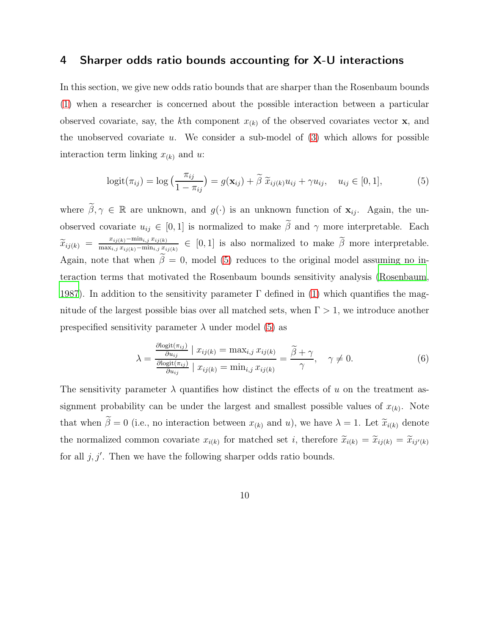### <span id="page-9-3"></span>4 Sharper odds ratio bounds accounting for X-U interactions

In this section, we give new odds ratio bounds that are sharper than the Rosenbaum bounds [\(1\)](#page-4-0) when a researcher is concerned about the possible interaction between a particular observed covariate, say, the kth component  $x_{(k)}$  of the observed covariates vector **x**, and the unobserved covariate u. We consider a sub-model of  $(3)$  which allows for possible interaction term linking  $x_{(k)}$  and u:

<span id="page-9-0"></span>
$$
logit(\pi_{ij}) = log\left(\frac{\pi_{ij}}{1 - \pi_{ij}}\right) = g(\mathbf{x}_{ij}) + \tilde{\beta} \tilde{x}_{ij(k)} u_{ij} + \gamma u_{ij}, \quad u_{ij} \in [0, 1],
$$
\n(5)

where  $\widetilde{\beta}, \gamma \in \mathbb{R}$  are unknown, and  $g(\cdot)$  is an unknown function of  $\mathbf{x}_{ij}$ . Again, the unobserved covariate  $u_{ij} \in [0, 1]$  is normalized to make  $\tilde{\beta}$  and  $\gamma$  more interpretable. Each  $\widetilde{x}_{ij(k)} = \frac{x_{ij(k)}-\min_{i,j} x_{ij(k)}}{\max_{i,j} x_{ij(k)}-\min_{i,j} x_{ij}}$  $\frac{L_{ij(k)}-\min_{i,j}L_{ij(k)}}{\max_{i,j}L_{ij(k)}-\min_{i,j}L_{ij(k)}} \in [0,1]$  is also normalized to make  $\beta$  more interpretable. Again, note that when  $\tilde{\beta} = 0$ , model [\(5\)](#page-9-0) reduces to the original model assuming no interaction terms that motivated the Rosenbaum bounds sensitivity analysis [\(Rosenbaum](#page-29-4), [1987](#page-29-4)). In addition to the sensitivity parameter  $\Gamma$  defined in [\(1\)](#page-4-0) which quantifies the magnitude of the largest possible bias over all matched sets, when  $\Gamma > 1$ , we introduce another prespecified sensitivity parameter  $\lambda$  under model [\(5\)](#page-9-0) as

<span id="page-9-1"></span>
$$
\lambda = \frac{\frac{\partial \text{logit}(\pi_{ij})}{\partial u_{ij}} \mid x_{ij(k)} = \max_{i,j} x_{ij(k)}}{\frac{\partial \text{logit}(\pi_{ij})}{\partial u_{ij}} \mid x_{ij(k)} = \min_{i,j} x_{ij(k)}} = \frac{\tilde{\beta} + \gamma}{\gamma}, \quad \gamma \neq 0.
$$
\n(6)

<span id="page-9-2"></span>The sensitivity parameter  $\lambda$  quantifies how distinct the effects of u on the treatment assignment probability can be under the largest and smallest possible values of  $x_{(k)}$ . Note that when  $\tilde{\beta} = 0$  (i.e., no interaction between  $x_{(k)}$  and u), we have  $\lambda = 1$ . Let  $\tilde{x}_{i(k)}$  denote the normalized common covariate  $x_{i(k)}$  for matched set i, therefore  $\tilde{x}_{i(k)} = \tilde{x}_{ij(k)} = \tilde{x}_{ij'}(k)$ for all  $j, j'$ . Then we have the following sharper odds ratio bounds.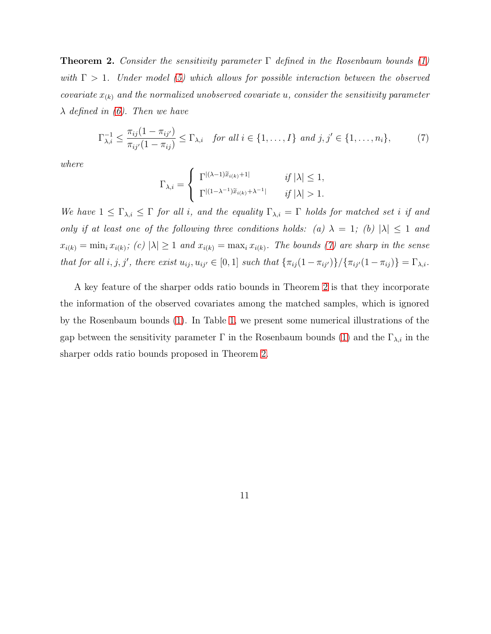**Theorem 2.** Consider the sensitivity parameter  $\Gamma$  defined in the Rosenbaum bounds [\(1\)](#page-4-0) with  $\Gamma > 1$ . Under model [\(5\)](#page-9-0) which allows for possible interaction between the observed covariate  $x_{(k)}$  and the normalized unobserved covariate u, consider the sensitivity parameter  $\lambda$  defined in [\(6\)](#page-9-1). Then we have

<span id="page-10-0"></span>
$$
\Gamma_{\lambda,i}^{-1} \le \frac{\pi_{ij}(1 - \pi_{ij'})}{\pi_{ij'}(1 - \pi_{ij})} \le \Gamma_{\lambda,i} \quad \text{for all } i \in \{1, \dots, I\} \text{ and } j, j' \in \{1, \dots, n_i\},\tag{7}
$$

where

$$
\Gamma_{\lambda,i} = \begin{cases} \Gamma^{|(\lambda-1)\widetilde{x}_{i(k)}+1|} & \text{if } |\lambda| \leq 1, \\ \Gamma^{|(1-\lambda^{-1})\widetilde{x}_{i(k)}+\lambda^{-1}|} & \text{if } |\lambda| > 1. \end{cases}
$$

We have  $1 \leq \Gamma_{\lambda,i} \leq \Gamma$  for all i, and the equality  $\Gamma_{\lambda,i} = \Gamma$  holds for matched set i if and only if at least one of the following three conditions holds: (a)  $\lambda = 1$ ; (b)  $|\lambda| \leq 1$  and  $x_{i(k)} = \min_i x_{i(k)}$ ; (c)  $|\lambda| \ge 1$  and  $x_{i(k)} = \max_i x_{i(k)}$ . The bounds [\(7\)](#page-10-0) are sharp in the sense that for all  $i, j, j'$ , there exist  $u_{ij}, u_{ij'} \in [0, 1]$  such that  $\{\pi_{ij}(1 - \pi_{ij'})\}/\{\pi_{ij'}(1 - \pi_{ij})\} = \Gamma_{\lambda,i}$ .

A key feature of the sharper odds ratio bounds in Theorem [2](#page-9-2) is that they incorporate the information of the observed covariates among the matched samples, which is ignored by the Rosenbaum bounds [\(1\)](#page-4-0). In Table [1,](#page-11-0) we present some numerical illustrations of the gap between the sensitivity parameter  $\Gamma$  in the Rosenbaum bounds [\(1\)](#page-4-0) and the  $\Gamma_{\lambda,i}$  in the sharper odds ratio bounds proposed in Theorem [2.](#page-9-2)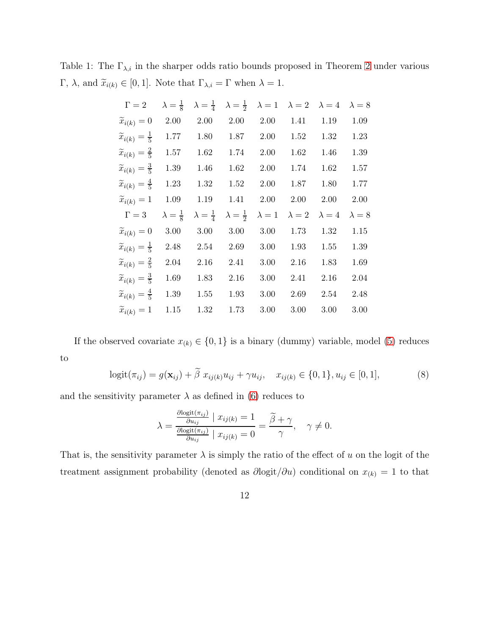Table 1: The  $\Gamma_{\lambda,i}$  in the sharper odds ratio bounds proposed in Theorem [2](#page-9-2) under various Γ,  $\lambda$ , and  $\widetilde{x}_{i(k)} \in [0, 1]$ . Note that  $\Gamma_{\lambda,i} = \Gamma$  when  $\lambda = 1$ .

<span id="page-11-0"></span>

| $\Gamma=2$                           | $\lambda = \frac{1}{8}$ | $\lambda = \frac{1}{4}$ | $\lambda = \frac{1}{2}$ | $\lambda = 1$ | $\lambda = 2$ | $\lambda = 4$ | $\lambda = 8$ |
|--------------------------------------|-------------------------|-------------------------|-------------------------|---------------|---------------|---------------|---------------|
| $\widetilde{x}_{i(k)} = 0$           | 2.00                    | 2.00                    | 2.00                    | 2.00          | 1.41          | 1.19          | 1.09          |
| $\widetilde{x}_{i(k)} = \frac{1}{5}$ | 1.77                    | 1.80                    | 1.87                    | 2.00          | 1.52          | 1.32          | 1.23          |
| $\widetilde{x}_{i(k)} = \frac{2}{5}$ | 1.57                    | 1.62                    | 1.74                    | 2.00          | 1.62          | 1.46          | 1.39          |
| $\widetilde{x}_{i(k)} = \frac{3}{5}$ | 1.39                    | 1.46                    | 1.62                    | 2.00          | 1.74          | 1.62          | 1.57          |
| $\widetilde{x}_{i(k)} = \frac{4}{5}$ | 1.23                    | 1.32                    | 1.52                    | 2.00          | 1.87          | 1.80          | 1.77          |
| $\widetilde{x}_{i(k)}=1$             | 1.09                    | 1.19                    | 1.41                    | 2.00          | 2.00          | 2.00          | 2.00          |
|                                      |                         |                         |                         |               |               |               |               |
| $\Gamma = 3$                         | $\lambda = \frac{1}{8}$ | $\lambda = \frac{1}{4}$ | $\lambda = \frac{1}{2}$ | $\lambda = 1$ | $\lambda = 2$ | $\lambda = 4$ | $\lambda = 8$ |
| $\widetilde{x}_{i(k)} = 0$           | 3.00                    | 3.00                    | 3.00                    | 3.00          | 1.73          | 1.32          | 1.15          |
| $\widetilde{x}_{i(k)} = \frac{1}{5}$ | 2.48                    | 2.54                    | 2.69                    | 3.00          | 1.93          | 1.55          | 1.39          |
| $\widetilde{x}_{i(k)} = \frac{2}{5}$ | 2.04                    | 2.16                    | 2.41                    | 3.00          | 2.16          | 1.83          | 1.69          |
| $\widetilde{x}_{i(k)} = \frac{3}{5}$ | 1.69                    | 1.83                    | 2.16                    | 3.00          | 2.41          | 2.16          | 2.04          |
| $\widetilde{x}_{i(k)} = \frac{4}{5}$ | 1.39                    | 1.55                    | 1.93                    | 3.00          | 2.69          | 2.54          | 2.48          |
| $\widetilde{x}_{i(k)}=1$             | 1.15                    | 1.32                    | 1.73                    | 3.00          | 3.00          | 3.00          | 3.00          |

If the observed covariate  $x_{(k)} \in \{0, 1\}$  is a binary (dummy) variable, model [\(5\)](#page-9-0) reduces to

$$
logit(\pi_{ij}) = g(\mathbf{x}_{ij}) + \tilde{\beta} x_{ij(k)} u_{ij} + \gamma u_{ij}, \quad x_{ij(k)} \in \{0, 1\}, u_{ij} \in [0, 1],
$$
 (8)

and the sensitivity parameter  $\lambda$  as defined in [\(6\)](#page-9-1) reduces to

$$
\lambda = \frac{\frac{\partial \text{logit}(\pi_{ij})}{\partial u_{ij}} \mid x_{ij(k)} = 1}{\frac{\partial \text{logit}(\pi_{ij})}{\partial u_{ij}} \mid x_{ij(k)} = 0} = \frac{\widetilde{\beta} + \gamma}{\gamma}, \quad \gamma \neq 0.
$$

That is, the sensitivity parameter  $\lambda$  is simply the ratio of the effect of u on the logit of the treatment assignment probability (denoted as  $\partial$ logit $/\partial u$ ) conditional on  $x_{(k)} = 1$  to that

12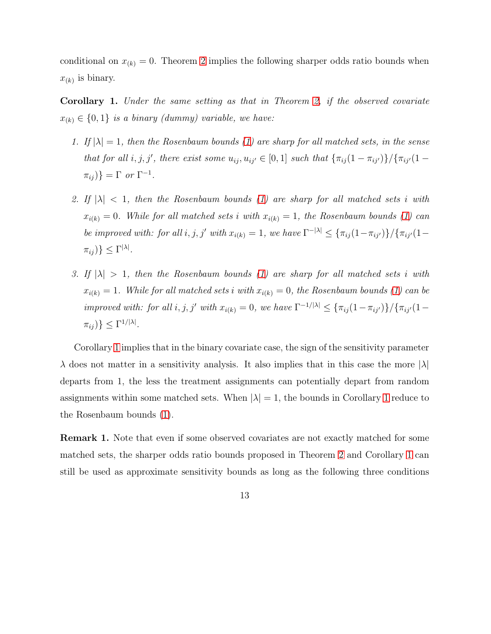<span id="page-12-0"></span>conditional on  $x_{(k)} = 0$ . Theorem [2](#page-9-2) implies the following sharper odds ratio bounds when  $x_{(k)}$  is binary.

Corollary 1. Under the same setting as that in Theorem [2,](#page-9-2) if the observed covariate  $x_{(k)} \in \{0, 1\}$  is a binary (dummy) variable, we have:

- 1. If  $|\lambda| = 1$ , then the Rosenbaum bounds [\(1\)](#page-4-0) are sharp for all matched sets, in the sense that for all i, j, j', there exist some  $u_{ij}, u_{ij'} \in [0,1]$  such that  $\{\pi_{ij}(1-\pi_{ij'})\}/\{\pi_{ij'}(1-\pi_{ij'})\}$  $\pi_{ij}$ ) =  $\Gamma$  or  $\Gamma^{-1}$ .
- 2. If  $|\lambda|$  < 1, then the Rosenbaum bounds [\(1\)](#page-4-0) are sharp for all matched sets i with  $x_{i(k)} = 0$ . While for all matched sets i with  $x_{i(k)} = 1$ , the Rosenbaum bounds [\(1\)](#page-4-0) can be improved with: for all i, j, j' with  $x_{i(k)} = 1$ , we have  $\Gamma^{-|\lambda|} \leq {\pi_{ij}(1 - \pi_{ij'})}/ {\pi_{ij'}(1 - \pi_{ij'})}$  $\pi_{ij}$ ) }  $\leq \Gamma^{|\lambda|}$ .
- 3. If  $|\lambda| > 1$ , then the Rosenbaum bounds [\(1\)](#page-4-0) are sharp for all matched sets i with  $x_{i(k)} = 1$ . While for all matched sets i with  $x_{i(k)} = 0$ , the Rosenbaum bounds [\(1\)](#page-4-0) can be improved with: for all i, j, j' with  $x_{i(k)} = 0$ , we have  $\Gamma^{-1/|\lambda|} \leq {\pi_{ij}(1 - \pi_{ij'})}/ {\pi_{ij'}(1 - \pi_{ij'})}$  $\pi_{ij}$ )  $\leq \Gamma^{1/|\lambda|}$ .

Corollary [1](#page-12-0) implies that in the binary covariate case, the sign of the sensitivity parameter  $\lambda$  does not matter in a sensitivity analysis. It also implies that in this case the more  $|\lambda|$ departs from 1, the less the treatment assignments can potentially depart from random assignments within some matched sets. When  $|\lambda| = 1$  $|\lambda| = 1$ , the bounds in Corollary 1 reduce to the Rosenbaum bounds [\(1\)](#page-4-0).

<span id="page-12-1"></span>Remark 1. Note that even if some observed covariates are not exactly matched for some matched sets, the sharper odds ratio bounds proposed in Theorem [2](#page-9-2) and Corollary [1](#page-12-0) can still be used as approximate sensitivity bounds as long as the following three conditions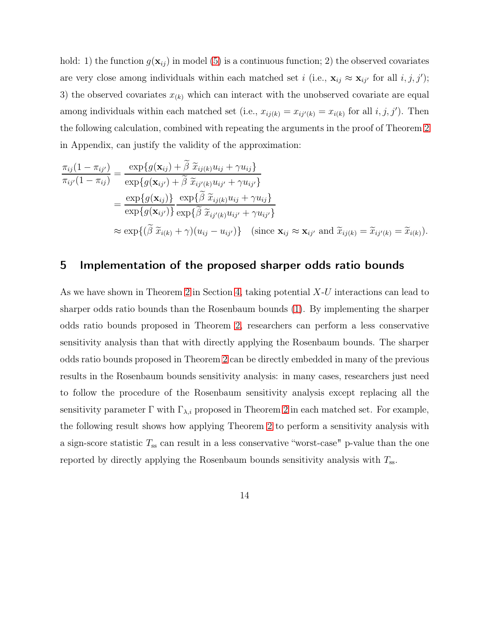hold: 1) the function  $g(\mathbf{x}_{ij})$  in model [\(5\)](#page-9-0) is a continuous function; 2) the observed covariates are very close among individuals within each matched set i (i.e.,  $\mathbf{x}_{ij} \approx \mathbf{x}_{ij'}$  for all  $i, j, j'$ ); 3) the observed covariates  $x_{(k)}$  which can interact with the unobserved covariate are equal among individuals within each matched set (i.e.,  $x_{ij(k)} = x_{ij'(k)} = x_{i(k)}$  for all  $i, j, j'$ ). Then the following calculation, combined with repeating the arguments in the proof of Theorem [2](#page-9-2) in Appendix, can justify the validity of the approximation:

$$
\frac{\pi_{ij}(1-\pi_{ij'})}{\pi_{ij'}(1-\pi_{ij})} = \frac{\exp\{g(\mathbf{x}_{ij}) + \widetilde{\beta} \widetilde{x}_{ij(k)} u_{ij} + \gamma u_{ij}\}}{\exp\{g(\mathbf{x}_{ij'}) + \widetilde{\beta} \widetilde{x}_{ij'(k)} u_{ij'} + \gamma u_{ij'}\}}
$$
\n
$$
= \frac{\exp\{g(\mathbf{x}_{ij})\}}{\exp\{g(\mathbf{x}_{ij'})\}} \frac{\exp\{\widetilde{\beta} \widetilde{x}_{ij(k)} u_{ij} + \gamma u_{ij}\}}{\exp\{\widetilde{\beta} \widetilde{x}_{ij'(k)} u_{ij'} + \gamma u_{ij'}\}}
$$
\n
$$
\approx \exp\{(\widetilde{\beta} \widetilde{x}_{i(k)} + \gamma)(u_{ij} - u_{ij'})\} \quad (\text{since } \mathbf{x}_{ij} \approx \mathbf{x}_{ij'} \text{ and } \widetilde{x}_{ij(k)} = \widetilde{x}_{ij(k)}).
$$

### 5 Implementation of the proposed sharper odds ratio bounds

<span id="page-13-0"></span>As we have shown in Theorem [2](#page-9-2) in Section [4,](#page-9-3) taking potential X-U interactions can lead to sharper odds ratio bounds than the Rosenbaum bounds [\(1\)](#page-4-0). By implementing the sharper odds ratio bounds proposed in Theorem [2,](#page-9-2) researchers can perform a less conservative sensitivity analysis than that with directly applying the Rosenbaum bounds. The sharper odds ratio bounds proposed in Theorem [2](#page-9-2) can be directly embedded in many of the previous results in the Rosenbaum bounds sensitivity analysis: in many cases, researchers just need to follow the procedure of the Rosenbaum sensitivity analysis except replacing all the sensitivity parameter  $\Gamma$  with  $\Gamma_{\lambda,i}$  proposed in Theorem [2](#page-9-2) in each matched set. For example, the following result shows how applying Theorem [2](#page-9-2) to perform a sensitivity analysis with a sign-score statistic  $T_{ss}$  can result in a less conservative "worst-case" p-value than the one reported by directly applying the Rosenbaum bounds sensitivity analysis with  $T_{ss}$ .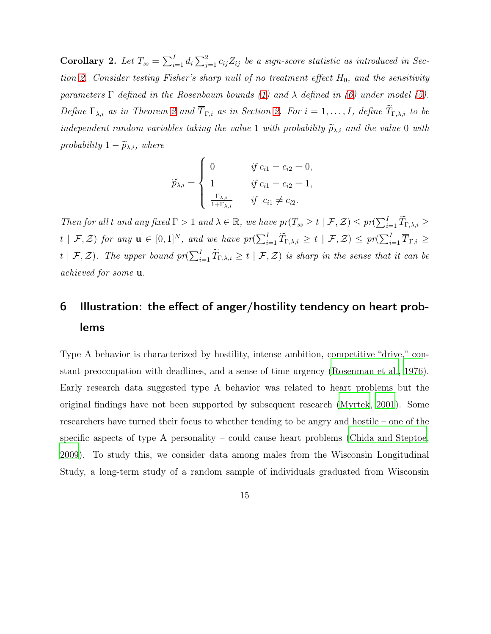Corollary 2. Let  $T_{ss} = \sum_{i=1}^{I} d_i \sum_{j=1}^{2} c_{ij} Z_{ij}$  be a sign-score statistic as introduced in Sec-tion [2.](#page-3-0) Consider testing Fisher's sharp null of no treatment effect  $H_0$ , and the sensitivity parameters  $\Gamma$  defined in the Rosenbaum bounds [\(1\)](#page-4-0) and  $\lambda$  defined in [\(6\)](#page-9-1) under model [\(5\)](#page-9-0). Define  $\Gamma_{\lambda,i}$  as in Theorem [2](#page-9-2) and  $\overline{T}_{\Gamma,i}$  as in Section [2.](#page-3-0) For  $i=1,\ldots,I$ , define  $\widetilde{T}_{\Gamma,\lambda,i}$  to be independent random variables taking the value 1 with probability  $\widetilde{p}_{\lambda,i}$  and the value 0 with probability  $1 - \widetilde{p}_{\lambda,i}$ , where

$$
\widetilde{p}_{\lambda,i} = \begin{cases}\n0 & \text{if } c_{i1} = c_{i2} = 0, \\
1 & \text{if } c_{i1} = c_{i2} = 1, \\
\frac{\Gamma_{\lambda,i}}{1 + \Gamma_{\lambda,i}} & \text{if } c_{i1} \neq c_{i2}.\n\end{cases}
$$

Then for all t and any fixed  $\Gamma > 1$  and  $\lambda \in \mathbb{R}$ , we have  $pr(T_{ss} \geq t \mid \mathcal{F}, \mathcal{Z}) \leq pr(\sum_{i=1}^{I} \widetilde{T}_{\Gamma, \lambda, i} \geq t \mid \mathcal{F})$  $t \mid \mathcal{F}, \mathcal{Z}$ ) for any  $\mathbf{u} \in [0,1]^N$ , and we have  $pr(\sum_{i=1}^I \widetilde{T}_{\Gamma,\lambda,i} \geq t \mid \mathcal{F}, \mathcal{Z}) \leq pr(\sum_{i=1}^I \overline{T}_{\Gamma,i} \geq t \mid \mathcal{F}, \mathcal{Z})$  $t \mid \mathcal{F}, \mathcal{Z}$ ). The upper bound  $pr(\sum_{i=1}^{I} \widetilde{T}_{\Gamma,\lambda,i} \geq t \mid \mathcal{F}, \mathcal{Z})$  is sharp in the sense that it can be achieved for some u.

# <span id="page-14-0"></span>6 Illustration: the effect of anger/hostility tendency on heart problems

Type A behavior is characterized by hostility, intense ambition, competitive "drive," constant preoccupation with deadlines, and a sense of time urgency [\(Rosenman et al., 1976\)](#page-29-8). Early research data suggested type A behavior was related to heart problems but the original findings have not been supported by subsequent research [\(Myrtek](#page-28-4), [2001\)](#page-28-4). Some researchers have turned their focus to whether tending to be angry and hostile – one of the specific aspects of type A personality – could cause heart problems [\(Chida and Steptoe](#page-26-6), [2009](#page-26-6)). To study this, we consider data among males from the Wisconsin Longitudinal Study, a long-term study of a random sample of individuals graduated from Wisconsin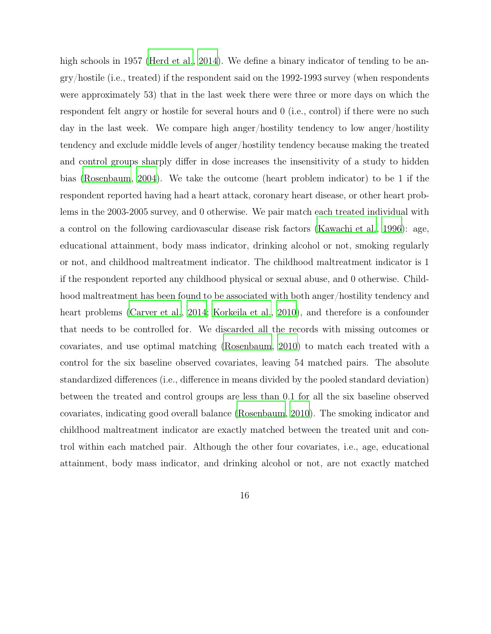high schools in 1957 [\(Herd et al., 2014](#page-27-5)). We define a binary indicator of tending to be angry/hostile (i.e., treated) if the respondent said on the 1992-1993 survey (when respondents were approximately 53) that in the last week there were three or more days on which the respondent felt angry or hostile for several hours and 0 (i.e., control) if there were no such day in the last week. We compare high anger/hostility tendency to low anger/hostility tendency and exclude middle levels of anger/hostility tendency because making the treated and control groups sharply differ in dose increases the insensitivity of a study to hidden bias [\(Rosenbaum](#page-29-5), [2004\)](#page-29-5). We take the outcome (heart problem indicator) to be 1 if the respondent reported having had a heart attack, coronary heart disease, or other heart problems in the 2003-2005 survey, and 0 otherwise. We pair match each treated individual with a control on the following cardiovascular disease risk factors [\(Kawachi et al., 1996\)](#page-27-6): age, educational attainment, body mass indicator, drinking alcohol or not, smoking regularly or not, and childhood maltreatment indicator. The childhood maltreatment indicator is 1 if the respondent reported any childhood physical or sexual abuse, and 0 otherwise. Childhood maltreatment has been found to be associated with both anger/hostility tendency and heart problems [\(Carver et al.](#page-26-7), [2014;](#page-26-7) [Korkeila et al.](#page-28-5), [2010\)](#page-28-5), and therefore is a confounder that needs to be controlled for. We discarded all the records with missing outcomes or covariates, and use optimal matching [\(Rosenbaum, 2010\)](#page-29-2) to match each treated with a control for the six baseline observed covariates, leaving 54 matched pairs. The absolute standardized differences (i.e., difference in means divided by the pooled standard deviation) between the treated and control groups are less than 0.1 for all the six baseline observed covariates, indicating good overall balance [\(Rosenbaum](#page-29-2), [2010](#page-29-2)). The smoking indicator and childhood maltreatment indicator are exactly matched between the treated unit and control within each matched pair. Although the other four covariates, i.e., age, educational attainment, body mass indicator, and drinking alcohol or not, are not exactly matched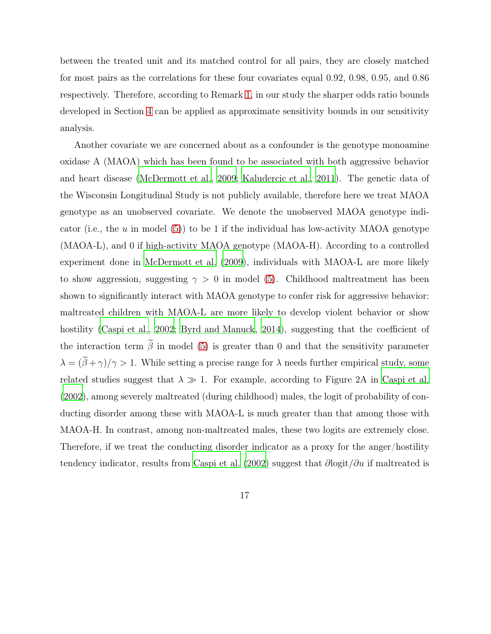between the treated unit and its matched control for all pairs, they are closely matched for most pairs as the correlations for these four covariates equal 0.92, 0.98, 0.95, and 0.86 respectively. Therefore, according to Remark [1,](#page-12-1) in our study the sharper odds ratio bounds developed in Section [4](#page-9-3) can be applied as approximate sensitivity bounds in our sensitivity analysis.

Another covariate we are concerned about as a confounder is the genotype monoamine oxidase A (MAOA) which has been found to be associated with both aggressive behavior and heart disease [\(McDermott et al.](#page-28-6), [2009;](#page-28-6) [Kaludercic et al.](#page-27-7), [2011](#page-27-7)). The genetic data of the Wisconsin Longitudinal Study is not publicly available, therefore here we treat MAOA genotype as an unobserved covariate. We denote the unobserved MAOA genotype indi-cator (i.e., the u in model [\(5\)](#page-9-0)) to be 1 if the individual has low-activity MAOA genotype (MAOA-L), and 0 if high-activity MAOA genotype (MAOA-H). According to a controlled experiment done in [McDermott et al. \(2009\)](#page-28-6), individuals with MAOA-L are more likely to show aggression, suggesting  $\gamma > 0$  in model [\(5\)](#page-9-0). Childhood maltreatment has been shown to significantly interact with MAOA genotype to confer risk for aggressive behavior: maltreated children with MAOA-L are more likely to develop violent behavior or show hostility [\(Caspi et al.](#page-26-4), [2002;](#page-26-4) [Byrd and Manuck, 2014](#page-25-0)), suggesting that the coefficient of the interaction term  $\tilde{\beta}$  in model [\(5\)](#page-9-0) is greater than 0 and that the sensitivity parameter  $\lambda = (\tilde{\beta} + \gamma)/\gamma > 1$ . While setting a precise range for  $\lambda$  needs further empirical study, some related studies suggest that  $\lambda \gg 1$ . For example, according to Figure 2A in [Caspi et al.](#page-26-4) [\(2002\)](#page-26-4), among severely maltreated (during childhood) males, the logit of probability of conducting disorder among these with MAOA-L is much greater than that among those with MAOA-H. In contrast, among non-maltreated males, these two logits are extremely close. Therefore, if we treat the conducting disorder indicator as a proxy for the anger/hostility tendency indicator, results from [Caspi et al. \(2002](#page-26-4)) suggest that  $\partial$ logit/ $\partial u$  if maltreated is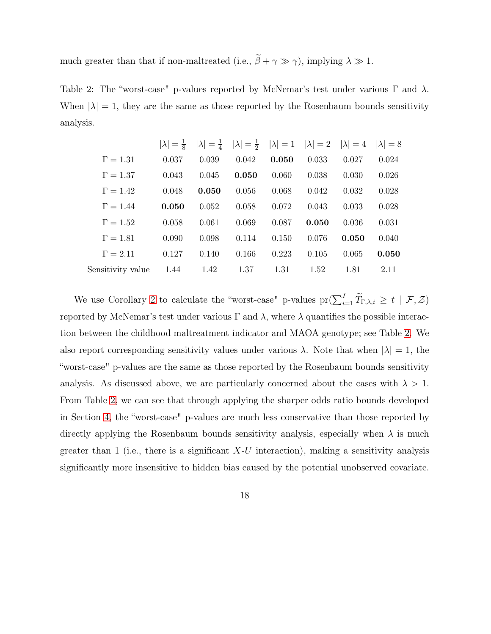much greater than that if non-maltreated (i.e.,  $\tilde{\beta} + \gamma \gg \gamma$ ), implying  $\lambda \gg 1$ .

<span id="page-17-0"></span>Table 2: The "worst-case" p-values reported by McNemar's test under various  $\Gamma$  and  $\lambda$ . When  $|\lambda| = 1$ , they are the same as those reported by the Rosenbaum bounds sensitivity analysis.

|                   | $ \lambda =\frac{1}{8}$ |       | $ \lambda  = \frac{1}{4}$ $ \lambda  = \frac{1}{2}$ $ \lambda  = 1$ $ \lambda  = 2$ $ \lambda  = 4$ |       |       |       | $ \lambda =8$ |
|-------------------|-------------------------|-------|-----------------------------------------------------------------------------------------------------|-------|-------|-------|---------------|
| $\Gamma = 1.31$   | 0.037                   | 0.039 | 0.042                                                                                               | 0.050 | 0.033 | 0.027 | 0.024         |
| $\Gamma = 1.37$   | 0.043                   | 0.045 | 0.050                                                                                               | 0.060 | 0.038 | 0.030 | 0.026         |
| $\Gamma = 1.42$   | 0.048                   | 0.050 | 0.056                                                                                               | 0.068 | 0.042 | 0.032 | 0.028         |
| $\Gamma = 1.44$   | 0.050                   | 0.052 | 0.058                                                                                               | 0.072 | 0.043 | 0.033 | 0.028         |
| $\Gamma = 1.52$   | 0.058                   | 0.061 | 0.069                                                                                               | 0.087 | 0.050 | 0.036 | 0.031         |
| $\Gamma = 1.81$   | 0.090                   | 0.098 | 0.114                                                                                               | 0.150 | 0.076 | 0.050 | 0.040         |
| $\Gamma = 2.11$   | 0.127                   | 0.140 | 0.166                                                                                               | 0.223 | 0.105 | 0.065 | 0.050         |
| Sensitivity value | 1.44                    | 1.42  | 1.37                                                                                                | 1.31  | 1.52  | 1.81  | 2.11          |

We use Corollary [2](#page-13-0) to calculate the "worst-case" p-values  $\text{pr}(\sum_{i=1}^{I} \widetilde{T}_{\Gamma,\lambda,i} \geq t \mid \mathcal{F}, \mathcal{Z})$ reported by McNemar's test under various Γ and  $\lambda$ , where  $\lambda$  quantifies the possible interaction between the childhood maltreatment indicator and MAOA genotype; see Table [2.](#page-17-0) We also report corresponding sensitivity values under various  $\lambda$ . Note that when  $|\lambda| = 1$ , the "worst-case" p-values are the same as those reported by the Rosenbaum bounds sensitivity analysis. As discussed above, we are particularly concerned about the cases with  $\lambda > 1$ . From Table [2,](#page-17-0) we can see that through applying the sharper odds ratio bounds developed in Section [4,](#page-9-3) the "worst-case" p-values are much less conservative than those reported by directly applying the Rosenbaum bounds sensitivity analysis, especially when  $\lambda$  is much greater than 1 (i.e., there is a significant  $X-U$  interaction), making a sensitivity analysis significantly more insensitive to hidden bias caused by the potential unobserved covariate.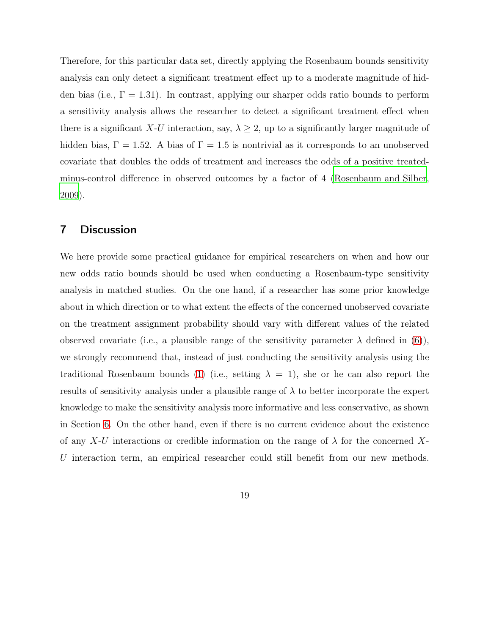Therefore, for this particular data set, directly applying the Rosenbaum bounds sensitivity analysis can only detect a significant treatment effect up to a moderate magnitude of hidden bias (i.e.,  $\Gamma = 1.31$ ). In contrast, applying our sharper odds ratio bounds to perform a sensitivity analysis allows the researcher to detect a significant treatment effect when there is a significant X-U interaction, say,  $\lambda \geq 2$ , up to a significantly larger magnitude of hidden bias,  $\Gamma = 1.52$ . A bias of  $\Gamma = 1.5$  is nontrivial as it corresponds to an unobserved covariate that doubles the odds of treatment and increases the odds of a positive treatedminus-control difference in observed outcomes by a factor of 4 [\(Rosenbaum and Silber](#page-29-6), [2009](#page-29-6)).

### 7 Discussion

We here provide some practical guidance for empirical researchers on when and how our new odds ratio bounds should be used when conducting a Rosenbaum-type sensitivity analysis in matched studies. On the one hand, if a researcher has some prior knowledge about in which direction or to what extent the effects of the concerned unobserved covariate on the treatment assignment probability should vary with different values of the related observed covariate (i.e., a plausible range of the sensitivity parameter  $\lambda$  defined in [\(6\)](#page-9-1)), we strongly recommend that, instead of just conducting the sensitivity analysis using the traditional Rosenbaum bounds [\(1\)](#page-4-0) (i.e., setting  $\lambda = 1$ ), she or he can also report the results of sensitivity analysis under a plausible range of  $\lambda$  to better incorporate the expert knowledge to make the sensitivity analysis more informative and less conservative, as shown in Section [6.](#page-14-0) On the other hand, even if there is no current evidence about the existence of any X-U interactions or credible information on the range of  $\lambda$  for the concerned X-U interaction term, an empirical researcher could still benefit from our new methods.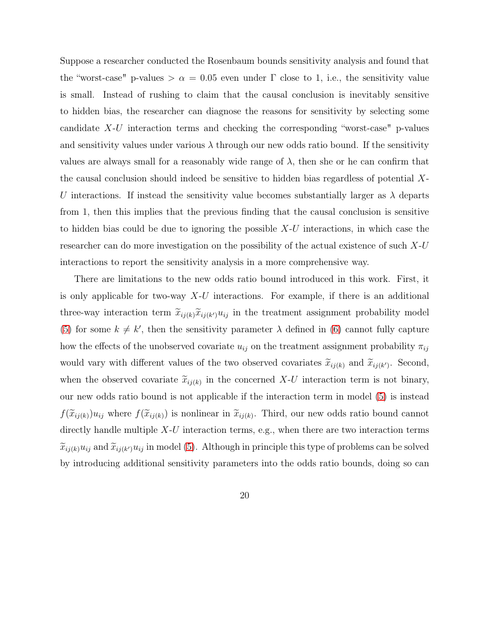Suppose a researcher conducted the Rosenbaum bounds sensitivity analysis and found that the "worst-case" p-values  $\alpha = 0.05$  even under  $\Gamma$  close to 1, i.e., the sensitivity value is small. Instead of rushing to claim that the causal conclusion is inevitably sensitive to hidden bias, the researcher can diagnose the reasons for sensitivity by selecting some candidate X-U interaction terms and checking the corresponding "worst-case" p-values and sensitivity values under various  $\lambda$  through our new odds ratio bound. If the sensitivity values are always small for a reasonably wide range of  $\lambda$ , then she or he can confirm that the causal conclusion should indeed be sensitive to hidden bias regardless of potential X-U interactions. If instead the sensitivity value becomes substantially larger as  $\lambda$  departs from 1, then this implies that the previous finding that the causal conclusion is sensitive to hidden bias could be due to ignoring the possible  $X-U$  interactions, in which case the researcher can do more investigation on the possibility of the actual existence of such X-U interactions to report the sensitivity analysis in a more comprehensive way.

There are limitations to the new odds ratio bound introduced in this work. First, it is only applicable for two-way  $X-U$  interactions. For example, if there is an additional three-way interaction term  $\widetilde{x}_{ij(k)}\widetilde{x}_{ij(k')}u_{ij}$  in the treatment assignment probability model [\(5\)](#page-9-0) for some  $k \neq k'$ , then the sensitivity parameter  $\lambda$  defined in [\(6\)](#page-9-1) cannot fully capture how the effects of the unobserved covariate  $u_{ij}$  on the treatment assignment probability  $\pi_{ij}$ would vary with different values of the two observed covariates  $\tilde{x}_{ij(k)}$  and  $\tilde{x}_{ij(k')}$ . Second, when the observed covariate  $\tilde{x}_{ij(k)}$  in the concerned X-U interaction term is not binary, our new odds ratio bound is not applicable if the interaction term in model [\(5\)](#page-9-0) is instead  $f(\widetilde{x}_{ij(k)})u_{ij}$  where  $f(\widetilde{x}_{ij(k)})$  is nonlinear in  $\widetilde{x}_{ij(k)}$ . Third, our new odds ratio bound cannot directly handle multiple  $X-U$  interaction terms, e.g., when there are two interaction terms  $\widetilde{x}_{ij(k)}u_{ij}$  and  $\widetilde{x}_{ij(k')}u_{ij}$  in model [\(5\)](#page-9-0). Although in principle this type of problems can be solved by introducing additional sensitivity parameters into the odds ratio bounds, doing so can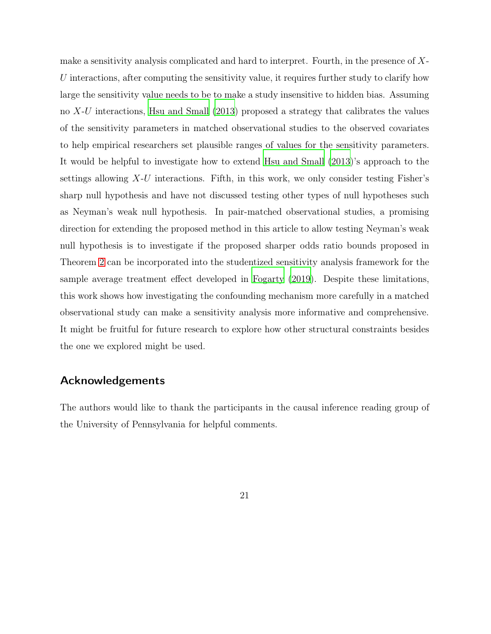make a sensitivity analysis complicated and hard to interpret. Fourth, in the presence of X-U interactions, after computing the sensitivity value, it requires further study to clarify how large the sensitivity value needs to be to make a study insensitive to hidden bias. Assuming no X-U interactions, [Hsu and Small \(2013\)](#page-27-8) proposed a strategy that calibrates the values of the sensitivity parameters in matched observational studies to the observed covariates to help empirical researchers set plausible ranges of values for the sensitivity parameters. It would be helpful to investigate how to extend [Hsu and Small](#page-27-8) [\(2013\)](#page-27-8)'s approach to the settings allowing  $X-U$  interactions. Fifth, in this work, we only consider testing Fisher's sharp null hypothesis and have not discussed testing other types of null hypotheses such as Neyman's weak null hypothesis. In pair-matched observational studies, a promising direction for extending the proposed method in this article to allow testing Neyman's weak null hypothesis is to investigate if the proposed sharper odds ratio bounds proposed in Theorem [2](#page-9-2) can be incorporated into the studentized sensitivity analysis framework for the sample average treatment effect developed in [Fogarty \(2019](#page-26-1)). Despite these limitations, this work shows how investigating the confounding mechanism more carefully in a matched observational study can make a sensitivity analysis more informative and comprehensive. It might be fruitful for future research to explore how other structural constraints besides the one we explored might be used.

### Acknowledgements

The authors would like to thank the participants in the causal inference reading group of the University of Pennsylvania for helpful comments.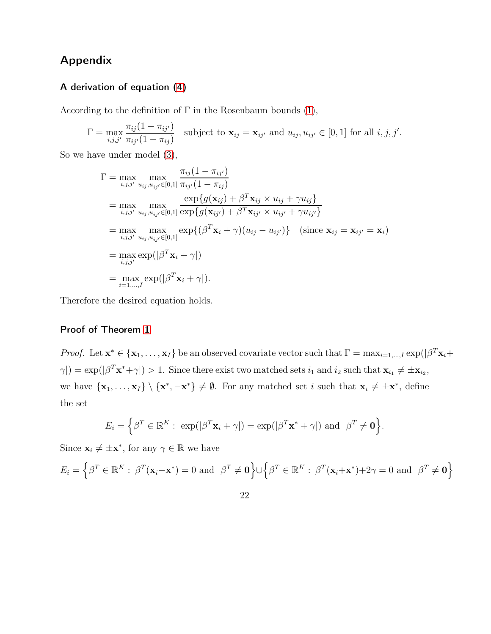## Appendix

### A derivation of equation [\(4\)](#page-7-1)

According to the definition of  $\Gamma$  in the Rosenbaum bounds [\(1\)](#page-4-0),

$$
\Gamma = \max_{i,j,j'} \frac{\pi_{ij}(1 - \pi_{ij'})}{\pi_{ij'}(1 - \pi_{ij})}
$$
 subject to  $\mathbf{x}_{ij} = \mathbf{x}_{ij'}$  and  $u_{ij}, u_{ij'} \in [0,1]$  for all  $i, j, j'.$ 

So we have under model [\(3\)](#page-7-0),

$$
\Gamma = \max_{i,j,j'} \max_{u_{ij}, u_{ij'} \in [0,1]} \frac{\pi_{ij}(1 - \pi_{ij'})}{\pi_{ij'}(1 - \pi_{ij})}
$$
\n
$$
= \max_{i,j,j'} \max_{u_{ij}, u_{ij'} \in [0,1]} \frac{\exp\{g(\mathbf{x}_{ij}) + \beta^T \mathbf{x}_{ij} \times u_{ij} + \gamma u_{ij}\}}{\exp\{g(\mathbf{x}_{ij'}) + \beta^T \mathbf{x}_{ij'} \times u_{ij'} + \gamma u_{ij'}\}}
$$
\n
$$
= \max_{i,j,j'} \max_{u_{ij}, u_{ij'} \in [0,1]} \exp\{(\beta^T \mathbf{x}_i + \gamma)(u_{ij} - u_{ij'})\} \quad (\text{since } \mathbf{x}_{ij} = \mathbf{x}_{ij'} = \mathbf{x}_i)
$$
\n
$$
= \max_{i,j,j'} \exp(|\beta^T \mathbf{x}_i + \gamma|)
$$
\n
$$
= \max_{i=1,\dots,I} \exp(|\beta^T \mathbf{x}_i + \gamma|).
$$

Therefore the desired equation holds.

### Proof of Theorem [1](#page-8-0)

*Proof.* Let  $\mathbf{x}^* \in \{\mathbf{x}_1, \dots, \mathbf{x}_I\}$  be an observed covariate vector such that  $\Gamma = \max_{i=1,\dots,I} \exp(|\beta^T \mathbf{x}_i + \beta^T \mathbf{x}_i|^2)$  $\gamma$ |) = exp(| $\beta^T \mathbf{x}^* + \gamma$ |) > 1. Since there exist two matched sets  $i_1$  and  $i_2$  such that  $\mathbf{x}_{i_1} \neq \pm \mathbf{x}_{i_2}$ , we have  $\{x_1, \ldots, x_I\} \setminus \{x^*, -x^*\} \neq \emptyset$ . For any matched set i such that  $x_i \neq \pm x^*$ , define the set

$$
E_i = \left\{ \beta^T \in \mathbb{R}^K : \exp(|\beta^T \mathbf{x}_i + \gamma|) = \exp(|\beta^T \mathbf{x}^* + \gamma|) \text{ and } \beta^T \neq \mathbf{0} \right\}.
$$

Since  $\mathbf{x}_i \neq \pm \mathbf{x}^*$ , for any  $\gamma \in \mathbb{R}$  we have

$$
E_i = \left\{ \beta^T \in \mathbb{R}^K : \ \beta^T(\mathbf{x}_i - \mathbf{x}^*) = 0 \ \text{and} \ \ \beta^T \neq \mathbf{0} \right\} \cup \left\{ \beta^T \in \mathbb{R}^K : \ \beta^T(\mathbf{x}_i + \mathbf{x}^*) + 2\gamma = 0 \ \text{and} \ \ \beta^T \neq \mathbf{0} \right\}
$$

22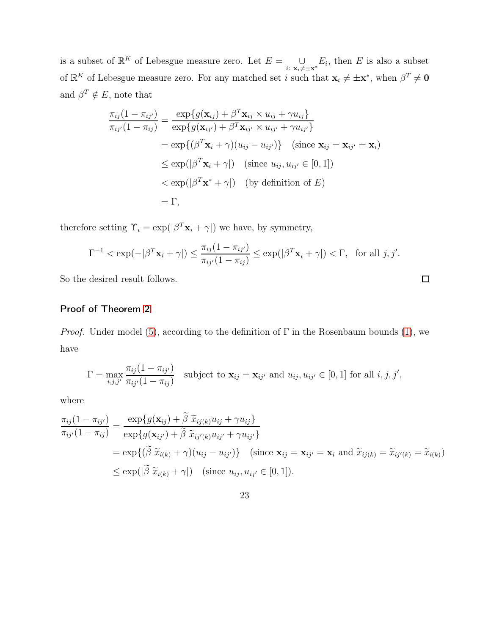is a subset of  $\mathbb{R}^K$  of Lebesgue measure zero. Let  $E = \bigcup_{i:\; \mathbf{x}_i \neq \pm \mathbf{x}^*} E_i$ , then E is also a subset of  $\mathbb{R}^K$  of Lebesgue measure zero. For any matched set *i* such that  $\mathbf{x}_i \neq \pm \mathbf{x}^*$ , when  $\beta^T \neq \mathbf{0}$ and  $\beta^T \notin E$ , note that

$$
\frac{\pi_{ij}(1-\pi_{ij'})}{\pi_{ij'}(1-\pi_{ij})} = \frac{\exp\{g(\mathbf{x}_{ij}) + \beta^T \mathbf{x}_{ij} \times u_{ij} + \gamma u_{ij}\}}{\exp\{g(\mathbf{x}_{ij'}) + \beta^T \mathbf{x}_{ij'} \times u_{ij'} + \gamma u_{ij'}\}}
$$
\n
$$
= \exp\{(\beta^T \mathbf{x}_i + \gamma)(u_{ij} - u_{ij'})\} \quad (\text{since } \mathbf{x}_{ij} = \mathbf{x}_{ij'} = \mathbf{x}_i)
$$
\n
$$
\leq \exp(|\beta^T \mathbf{x}_i + \gamma|) \quad (\text{since } u_{ij}, u_{ij'} \in [0, 1])
$$
\n
$$
< \exp(|\beta^T \mathbf{x}^* + \gamma|) \quad (\text{by definition of } E)
$$
\n
$$
= \Gamma,
$$

therefore setting  $\Upsilon_i = \exp(|\beta^T \mathbf{x}_i + \gamma|)$  we have, by symmetry,

$$
\Gamma^{-1} < \exp(-|\beta^T \mathbf{x}_i + \gamma|) \le \frac{\pi_{ij}(1 - \pi_{ij'})}{\pi_{ij'}(1 - \pi_{ij})} \le \exp(|\beta^T \mathbf{x}_i + \gamma|) < \Gamma, \text{ for all } j, j'.
$$

 $\Box$ 

So the desired result follows.

### Proof of Theorem [2](#page-9-2)

*Proof.* Under model [\(5\)](#page-9-0), according to the definition of  $\Gamma$  in the Rosenbaum bounds [\(1\)](#page-4-0), we have

$$
\Gamma = \max_{i,j,j'} \frac{\pi_{ij}(1 - \pi_{ij'})}{\pi_{ij'}(1 - \pi_{ij})}
$$
 subject to  $\mathbf{x}_{ij} = \mathbf{x}_{ij'}$  and  $u_{ij}, u_{ij'} \in [0,1]$  for all  $i, j, j',$ 

where

$$
\frac{\pi_{ij}(1-\pi_{ij'})}{\pi_{ij'}(1-\pi_{ij})} = \frac{\exp\{g(\mathbf{x}_{ij}) + \tilde{\beta} \tilde{x}_{ij(k)} u_{ij} + \gamma u_{ij}\}}{\exp\{g(\mathbf{x}_{ij'}) + \tilde{\beta} \tilde{x}_{ij'(k)} u_{ij'} + \gamma u_{ij'}\}}
$$
\n
$$
= \exp\{(\tilde{\beta} \tilde{x}_{i(k)} + \gamma)(u_{ij} - u_{ij'})\} \quad \text{(since } \mathbf{x}_{ij} = \mathbf{x}_{ij'} = \mathbf{x}_i \text{ and } \tilde{x}_{ij(k)} = \tilde{x}_{ij'(k)} = \tilde{x}_{i(k)})
$$
\n
$$
\leq \exp(|\tilde{\beta} \tilde{x}_{i(k)} + \gamma|) \quad \text{(since } u_{ij}, u_{ij'} \in [0, 1]).
$$

23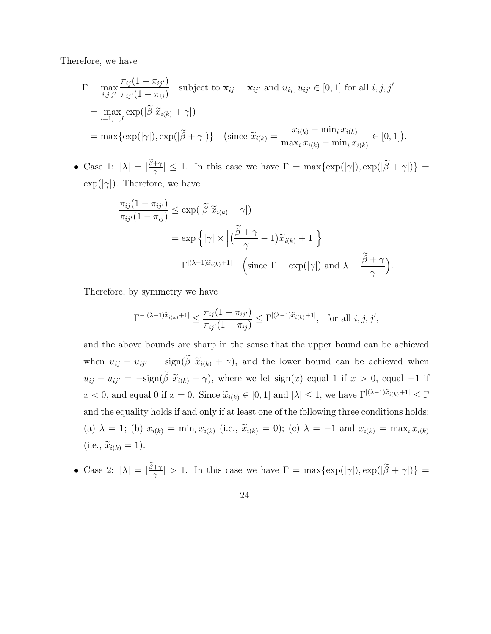Therefore, we have

$$
\Gamma = \max_{i,j,j'} \frac{\pi_{ij}(1 - \pi_{ij'})}{\pi_{ij'}(1 - \pi_{ij})} \text{ subject to } \mathbf{x}_{ij} = \mathbf{x}_{ij'} \text{ and } u_{ij}, u_{ij'} \in [0, 1] \text{ for all } i, j, j'
$$
  
\n
$$
= \max_{i=1,\dots,I} \exp(|\widetilde{\beta} \ \widetilde{x}_{i(k)} + \gamma|)
$$
  
\n
$$
= \max\{\exp(|\gamma|), \exp(|\widetilde{\beta} + \gamma|)\} \quad \left(\text{since } \widetilde{x}_{i(k)} = \frac{x_{i(k)} - \min_{i} x_{i(k)}}{\max_{i} x_{i(k)} - \min_{i} x_{i(k)}} \in [0, 1]\right).
$$

• Case 1:  $|\lambda| = |\frac{\tilde{\beta} + \gamma}{\gamma}|$  $|\frac{+\gamma}{\gamma}| \leq 1$ . In this case we have  $\Gamma = \max\{\exp(|\gamma|), \exp(|\beta + \gamma|)\}$  $\exp(|\gamma|)$ . Therefore, we have

$$
\frac{\pi_{ij}(1 - \pi_{ij'})}{\pi_{ij'}(1 - \pi_{ij})} \le \exp(|\tilde{\beta}| \tilde{x}_{i(k)} + \gamma|)
$$
  
=  $\exp\left\{ |\gamma| \times |(\frac{\tilde{\beta} + \gamma}{\gamma} - 1)\tilde{x}_{i(k)} + 1| \right\}$   
=  $\Gamma^{|(\lambda - 1)\tilde{x}_{i(k)} + 1|}$  (since  $\Gamma = \exp(|\gamma|)$  and  $\lambda = \frac{\tilde{\beta} + \gamma}{\gamma}$ ).

Therefore, by symmetry we have

$$
\Gamma^{-|(\lambda-1)\widetilde{x}_{i(k)}+1|} \leq \frac{\pi_{ij}(1-\pi_{ij'})}{\pi_{ij'}(1-\pi_{ij})} \leq \Gamma^{|(\lambda-1)\widetilde{x}_{i(k)}+1|}, \text{ for all } i, j, j',
$$

and the above bounds are sharp in the sense that the upper bound can be achieved when  $u_{ij} - u_{ij'} = \text{sign}(\tilde{\beta} \tilde{x}_{i(k)} + \gamma)$ , and the lower bound can be achieved when  $u_{ij} - u_{ij'} = -\text{sign}(\tilde{\beta} \tilde{x}_{i(k)} + \gamma)$ , where we let  $\text{sign}(x)$  equal 1 if  $x > 0$ , equal -1 if  $x < 0$ , and equal 0 if  $x = 0$ . Since  $\widetilde{x}_{i(k)} \in [0, 1]$  and  $|\lambda| \leq 1$ , we have  $\Gamma^{|\lambda-1|\tilde{x}_{i(k)}+1|} \leq \Gamma$ and the equality holds if and only if at least one of the following three conditions holds: (a)  $\lambda = 1$ ; (b)  $x_{i(k)} = \min_i x_{i(k)}$  (i.e.,  $\tilde{x}_{i(k)} = 0$ ); (c)  $\lambda = -1$  and  $x_{i(k)} = \max_i x_{i(k)}$  $(i.e., \widetilde{x}_{i(k)} = 1).$ 

• Case 2:  $|\lambda| = |\frac{\tilde{\beta}+\gamma}{\gamma}|$  $\frac{f+\gamma}{\gamma}$  > 1. In this case we have  $\Gamma = \max\{\exp(|\gamma|), \exp(|\beta + \gamma|)\}$ 

24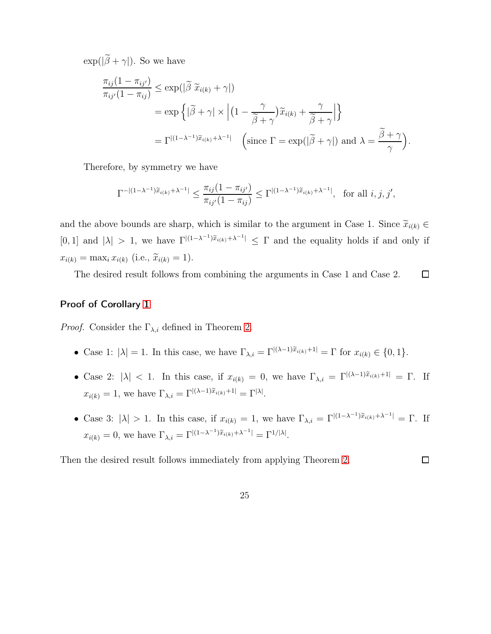$\exp(|\tilde{\beta} + \gamma|)$ . So we have

$$
\frac{\pi_{ij}(1 - \pi_{ij'})}{\pi_{ij'}(1 - \pi_{ij})} \le \exp(|\tilde{\beta}| \tilde{x}_{i(k)} + \gamma|)
$$
\n
$$
= \exp\left\{|\tilde{\beta} + \gamma| \times \left| \left(1 - \frac{\gamma}{\tilde{\beta} + \gamma}\right) \tilde{x}_{i(k)} + \frac{\gamma}{\tilde{\beta} + \gamma} \right| \right\}
$$
\n
$$
= \Gamma^{|(1 - \lambda^{-1})\tilde{x}_{i(k)} + \lambda^{-1}|} \quad \left(\text{since } \Gamma = \exp(|\tilde{\beta} + \gamma|) \text{ and } \lambda = \frac{\tilde{\beta} + \gamma}{\gamma}\right).
$$

Therefore, by symmetry we have

$$
\Gamma^{-|(1-\lambda^{-1})\widetilde{x}_{i(k)}+\lambda^{-1}|} \leq \frac{\pi_{ij}(1-\pi_{ij'})}{\pi_{ij'}(1-\pi_{ij})} \leq \Gamma^{|(1-\lambda^{-1})\widetilde{x}_{i(k)}+\lambda^{-1}|}, \text{ for all } i, j, j',
$$

and the above bounds are sharp, which is similar to the argument in Case 1. Since  $\widetilde{x}_{i(k)} \in$ [0, 1] and  $|\lambda| > 1$ , we have  $\Gamma^{|(1-\lambda^{-1})\tilde{x}_{i(k)}+\lambda^{-1}|} \leq \Gamma$  and the equality holds if and only if  $x_{i(k)} = \max_i x_{i(k)}$  (i.e.,  $\tilde{x}_{i(k)} = 1$ ).

The desired result follows from combining the arguments in Case 1 and Case 2.  $\Box$ 

### Proof of Corollary [1](#page-12-0)

*Proof.* Consider the  $\Gamma_{\lambda,i}$  defined in Theorem [2.](#page-9-2)

- Case 1:  $|\lambda| = 1$ . In this case, we have  $\Gamma_{\lambda,i} = \Gamma^{|(\lambda-1)\tilde{x}_{i(k)}+1|} = \Gamma$  for  $x_{i(k)} \in \{0,1\}$ .
- Case 2:  $|\lambda|$  < 1. In this case, if  $x_{i(k)} = 0$ , we have  $\Gamma_{\lambda,i} = \Gamma^{|\lambda-1|\tilde{x}_{i(k)}+1|} = \Gamma$ . If  $x_{i(k)} = 1$ , we have  $\Gamma_{\lambda,i} = \Gamma^{|\lambda-1|\widetilde{x}_{i(k)}+1|} = \Gamma^{|\lambda|}.$
- Case 3:  $|\lambda| > 1$ . In this case, if  $x_{i(k)} = 1$ , we have  $\Gamma_{\lambda,i} = \Gamma^{|(1-\lambda^{-1})\tilde{x}_{i(k)} + \lambda^{-1}|} = \Gamma$ . If  $x_{i(k)} = 0$ , we have  $\Gamma_{\lambda,i} = \Gamma^{\vert (1-\lambda^{-1}) \tilde{x}_{i(k)} + \lambda^{-1} \vert} = \Gamma^{1/\vert \lambda \vert}$ .

Then the desired result follows immediately from applying Theorem [2.](#page-9-2)  $\Box$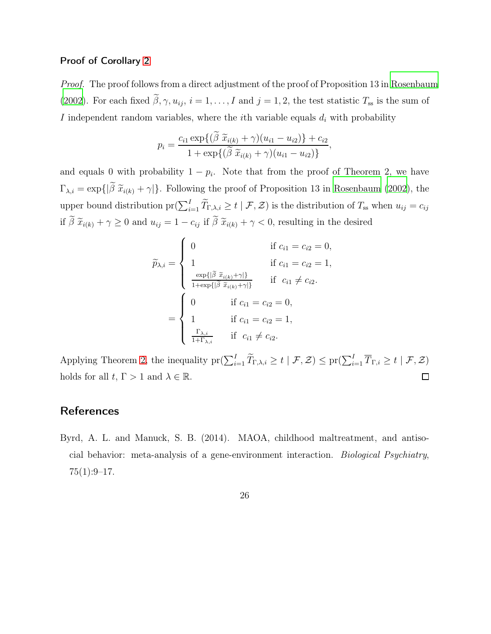#### Proof of Corollary [2](#page-13-0)

Proof. The proof follows from a direct adjustment of the proof of Proposition 13 in [Rosenbaum](#page-29-1) [\(2002\)](#page-29-1). For each fixed  $\tilde{\beta}$ ,  $\gamma$ ,  $u_{ij}$ ,  $i = 1, \ldots, I$  and  $j = 1, 2$ , the test statistic  $T_{ss}$  is the sum of I independent random variables, where the *i*th variable equals  $d_i$  with probability

$$
p_i = \frac{c_{i1} \exp\{(\beta \ \widetilde{x}_{i(k)} + \gamma)(u_{i1} - u_{i2})\} + c_{i2}}{1 + \exp\{(\widetilde{\beta} \ \widetilde{x}_{i(k)} + \gamma)(u_{i1} - u_{i2})\}},
$$

and equals 0 with probability  $1 - p_i$ . Note that from the proof of Theorem 2, we have  $\Gamma_{\lambda,i} = \exp\{\left|\tilde{\beta}\right| \tilde{x}_{i(k)} + \gamma\}$ . Following the proof of Proposition 13 in [Rosenbaum \(2002](#page-29-1)), the upper bound distribution  $pr(\sum_{i=1}^{I} \tilde{T}_{\Gamma,\lambda,i} \geq t \mid \mathcal{F}, \mathcal{Z})$  is the distribution of  $T_{ss}$  when  $u_{ij} = c_{ij}$ if  $\tilde{\beta} \tilde{x}_{i(k)} + \gamma \ge 0$  and  $u_{ij} = 1 - c_{ij}$  if  $\tilde{\beta} \tilde{x}_{i(k)} + \gamma < 0$ , resulting in the desired

$$
\widetilde{p}_{\lambda,i} = \begin{cases}\n0 & \text{if } c_{i1} = c_{i2} = 0, \\
1 & \text{if } c_{i1} = c_{i2} = 1, \\
\frac{\exp\{\left|\widetilde{\beta} \tilde{x}_{i(k)} + \gamma\right|\}}{1 + \exp\{\left|\widetilde{\beta} \tilde{x}_{i(k)} + \gamma\right|\}} & \text{if } c_{i1} \neq c_{i2}.\n\end{cases}
$$
\n
$$
= \begin{cases}\n0 & \text{if } c_{i1} = c_{i2} = 0, \\
1 & \text{if } c_{i1} = c_{i2} = 1, \\
\frac{\Gamma_{\lambda,i}}{1 + \Gamma_{\lambda,i}} & \text{if } c_{i1} \neq c_{i2}.\n\end{cases}
$$

Applying Theorem [2,](#page-9-2) the inequality  $\mathrm{pr}(\sum_{i=1}^{I} \widetilde{T}_{\Gamma,\lambda,i} \geq t \mid \mathcal{F}, \mathcal{Z}) \leq \mathrm{pr}(\sum_{i=1}^{I} \overline{T}_{\Gamma,i} \geq t \mid \mathcal{F}, \mathcal{Z})$ holds for all  $t, \Gamma > 1$  and  $\lambda \in \mathbb{R}$ .  $\Box$ 

## **References**

<span id="page-25-0"></span>Byrd, A. L. and Manuck, S. B. (2014). MAOA, childhood maltreatment, and antisocial behavior: meta-analysis of a gene-environment interaction. Biological Psychiatry,  $75(1):9-17.$ 

26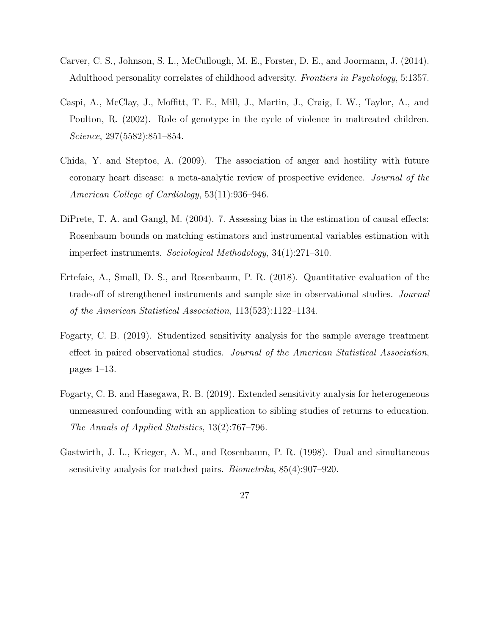- <span id="page-26-7"></span>Carver, C. S., Johnson, S. L., McCullough, M. E., Forster, D. E., and Joormann, J. (2014). Adulthood personality correlates of childhood adversity. Frontiers in Psychology, 5:1357.
- <span id="page-26-4"></span>Caspi, A., McClay, J., Moffitt, T. E., Mill, J., Martin, J., Craig, I. W., Taylor, A., and Poulton, R. (2002). Role of genotype in the cycle of violence in maltreated children. Science, 297(5582):851–854.
- <span id="page-26-6"></span>Chida, Y. and Steptoe, A. (2009). The association of anger and hostility with future coronary heart disease: a meta-analytic review of prospective evidence. Journal of the American College of Cardiology, 53(11):936–946.
- <span id="page-26-5"></span>DiPrete, T. A. and Gangl, M. (2004). 7. Assessing bias in the estimation of causal effects: Rosenbaum bounds on matching estimators and instrumental variables estimation with imperfect instruments. Sociological Methodology, 34(1):271–310.
- <span id="page-26-0"></span>Ertefaie, A., Small, D. S., and Rosenbaum, P. R. (2018). Quantitative evaluation of the trade-off of strengthened instruments and sample size in observational studies. Journal of the American Statistical Association, 113(523):1122–1134.
- <span id="page-26-1"></span>Fogarty, C. B. (2019). Studentized sensitivity analysis for the sample average treatment effect in paired observational studies. Journal of the American Statistical Association, pages 1–13.
- <span id="page-26-3"></span>Fogarty, C. B. and Hasegawa, R. B. (2019). Extended sensitivity analysis for heterogeneous unmeasured confounding with an application to sibling studies of returns to education. The Annals of Applied Statistics, 13(2):767–796.
- <span id="page-26-2"></span>Gastwirth, J. L., Krieger, A. M., and Rosenbaum, P. R. (1998). Dual and simultaneous sensitivity analysis for matched pairs. Biometrika, 85(4):907–920.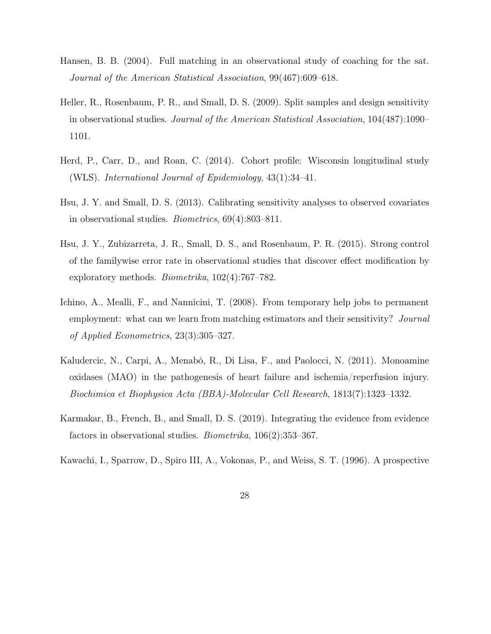- <span id="page-27-0"></span>Hansen, B. B. (2004). Full matching in an observational study of coaching for the sat. Journal of the American Statistical Association, 99(467):609–618.
- <span id="page-27-1"></span>Heller, R., Rosenbaum, P. R., and Small, D. S. (2009). Split samples and design sensitivity in observational studies. Journal of the American Statistical Association, 104(487):1090– 1101.
- <span id="page-27-5"></span>Herd, P., Carr, D., and Roan, C. (2014). Cohort profile: Wisconsin longitudinal study (WLS). International Journal of Epidemiology, 43(1):34–41.
- <span id="page-27-8"></span>Hsu, J. Y. and Small, D. S. (2013). Calibrating sensitivity analyses to observed covariates in observational studies. Biometrics, 69(4):803–811.
- <span id="page-27-2"></span>Hsu, J. Y., Zubizarreta, J. R., Small, D. S., and Rosenbaum, P. R. (2015). Strong control of the familywise error rate in observational studies that discover effect modification by exploratory methods. Biometrika, 102(4):767–782.
- <span id="page-27-4"></span>Ichino, A., Mealli, F., and Nannicini, T. (2008). From temporary help jobs to permanent employment: what can we learn from matching estimators and their sensitivity? Journal of Applied Econometrics, 23(3):305–327.
- <span id="page-27-7"></span>Kaludercic, N., Carpi, A., Menabò, R., Di Lisa, F., and Paolocci, N. (2011). Monoamine oxidases (MAO) in the pathogenesis of heart failure and ischemia/reperfusion injury. Biochimica et Biophysica Acta (BBA)-Molecular Cell Research, 1813(7):1323–1332.
- <span id="page-27-3"></span>Karmakar, B., French, B., and Small, D. S. (2019). Integrating the evidence from evidence factors in observational studies. Biometrika, 106(2):353–367.
- <span id="page-27-6"></span>Kawachi, I., Sparrow, D., Spiro III, A., Vokonas, P., and Weiss, S. T. (1996). A prospective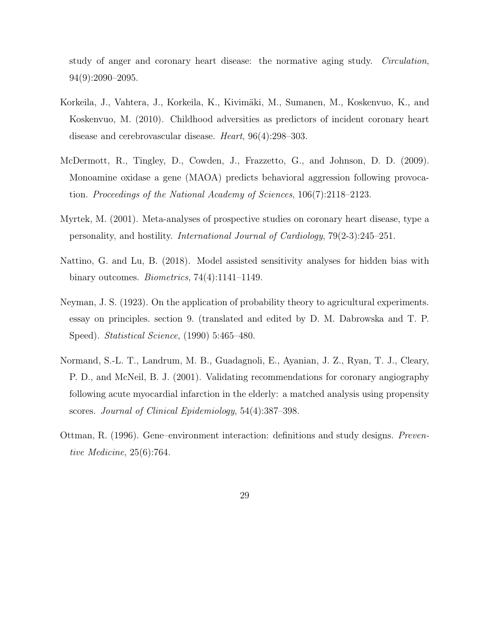study of anger and coronary heart disease: the normative aging study. Circulation, 94(9):2090–2095.

- <span id="page-28-5"></span>Korkeila, J., Vahtera, J., Korkeila, K., Kivimäki, M., Sumanen, M., Koskenvuo, K., and Koskenvuo, M. (2010). Childhood adversities as predictors of incident coronary heart disease and cerebrovascular disease. Heart, 96(4):298–303.
- <span id="page-28-6"></span>McDermott, R., Tingley, D., Cowden, J., Frazzetto, G., and Johnson, D. D. (2009). Monoamine oxidase a gene (MAOA) predicts behavioral aggression following provocation. Proceedings of the National Academy of Sciences, 106(7):2118–2123.
- <span id="page-28-4"></span>Myrtek, M. (2001). Meta-analyses of prospective studies on coronary heart disease, type a personality, and hostility. International Journal of Cardiology, 79(2-3):245–251.
- <span id="page-28-1"></span>Nattino, G. and Lu, B. (2018). Model assisted sensitivity analyses for hidden bias with binary outcomes. Biometrics, 74(4):1141–1149.
- <span id="page-28-3"></span>Neyman, J. S. (1923). On the application of probability theory to agricultural experiments. essay on principles. section 9. (translated and edited by D. M. Dabrowska and T. P. Speed). Statistical Science, (1990) 5:465–480.
- <span id="page-28-0"></span>Normand, S.-L. T., Landrum, M. B., Guadagnoli, E., Ayanian, J. Z., Ryan, T. J., Cleary, P. D., and McNeil, B. J. (2001). Validating recommendations for coronary angiography following acute myocardial infarction in the elderly: a matched analysis using propensity scores. Journal of Clinical Epidemiology, 54(4):387–398.
- <span id="page-28-2"></span>Ottman, R. (1996). Gene–environment interaction: definitions and study designs. Preventive Medicine, 25(6):764.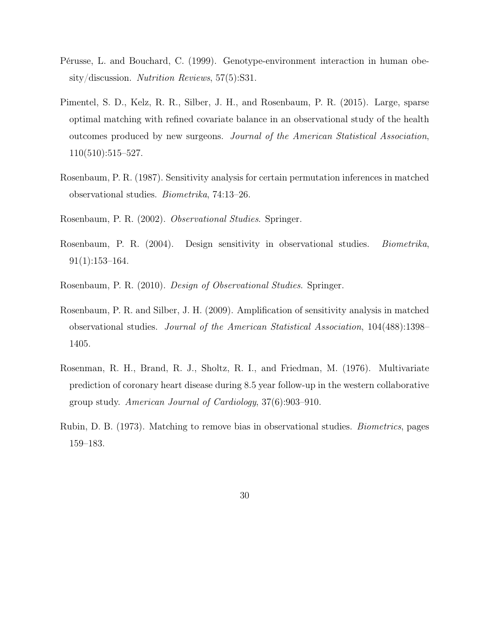- <span id="page-29-7"></span>Pérusse, L. and Bouchard, C. (1999). Genotype-environment interaction in human obesity/discussion. Nutrition Reviews, 57(5):S31.
- <span id="page-29-3"></span>Pimentel, S. D., Kelz, R. R., Silber, J. H., and Rosenbaum, P. R. (2015). Large, sparse optimal matching with refined covariate balance in an observational study of the health outcomes produced by new surgeons. Journal of the American Statistical Association, 110(510):515–527.
- <span id="page-29-4"></span>Rosenbaum, P. R. (1987). Sensitivity analysis for certain permutation inferences in matched observational studies. Biometrika, 74:13–26.
- <span id="page-29-1"></span>Rosenbaum, P. R. (2002). Observational Studies. Springer.
- <span id="page-29-5"></span>Rosenbaum, P. R. (2004). Design sensitivity in observational studies. Biometrika, 91(1):153–164.
- <span id="page-29-2"></span>Rosenbaum, P. R. (2010). Design of Observational Studies. Springer.
- <span id="page-29-6"></span>Rosenbaum, P. R. and Silber, J. H. (2009). Amplification of sensitivity analysis in matched observational studies. Journal of the American Statistical Association, 104(488):1398– 1405.
- <span id="page-29-8"></span>Rosenman, R. H., Brand, R. J., Sholtz, R. I., and Friedman, M. (1976). Multivariate prediction of coronary heart disease during 8.5 year follow-up in the western collaborative group study. American Journal of Cardiology, 37(6):903–910.
- <span id="page-29-0"></span>Rubin, D. B. (1973). Matching to remove bias in observational studies. Biometrics, pages 159–183.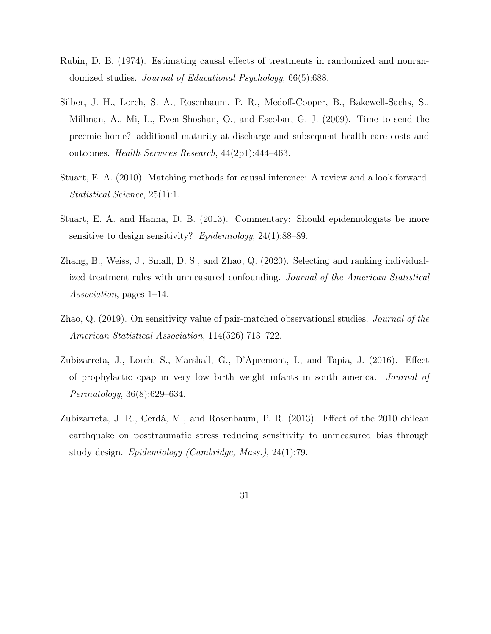- <span id="page-30-7"></span>Rubin, D. B. (1974). Estimating causal effects of treatments in randomized and nonrandomized studies. Journal of Educational Psychology, 66(5):688.
- <span id="page-30-2"></span>Silber, J. H., Lorch, S. A., Rosenbaum, P. R., Medoff-Cooper, B., Bakewell-Sachs, S., Millman, A., Mi, L., Even-Shoshan, O., and Escobar, G. J. (2009). Time to send the preemie home? additional maturity at discharge and subsequent health care costs and outcomes. Health Services Research, 44(2p1):444–463.
- <span id="page-30-0"></span>Stuart, E. A. (2010). Matching methods for causal inference: A review and a look forward. Statistical Science, 25(1):1.
- <span id="page-30-3"></span>Stuart, E. A. and Hanna, D. B. (2013). Commentary: Should epidemiologists be more sensitive to design sensitivity? Epidemiology, 24(1):88–89.
- <span id="page-30-6"></span>Zhang, B., Weiss, J., Small, D. S., and Zhao, Q. (2020). Selecting and ranking individualized treatment rules with unmeasured confounding. Journal of the American Statistical Association, pages 1–14.
- <span id="page-30-5"></span>Zhao, Q. (2019). On sensitivity value of pair-matched observational studies. Journal of the American Statistical Association, 114(526):713–722.
- <span id="page-30-4"></span>Zubizarreta, J., Lorch, S., Marshall, G., D'Apremont, I., and Tapia, J. (2016). Effect of prophylactic cpap in very low birth weight infants in south america. Journal of Perinatology, 36(8):629–634.
- <span id="page-30-1"></span>Zubizarreta, J. R., Cerdá, M., and Rosenbaum, P. R. (2013). Effect of the 2010 chilean earthquake on posttraumatic stress reducing sensitivity to unmeasured bias through study design. Epidemiology (Cambridge, Mass.), 24(1):79.